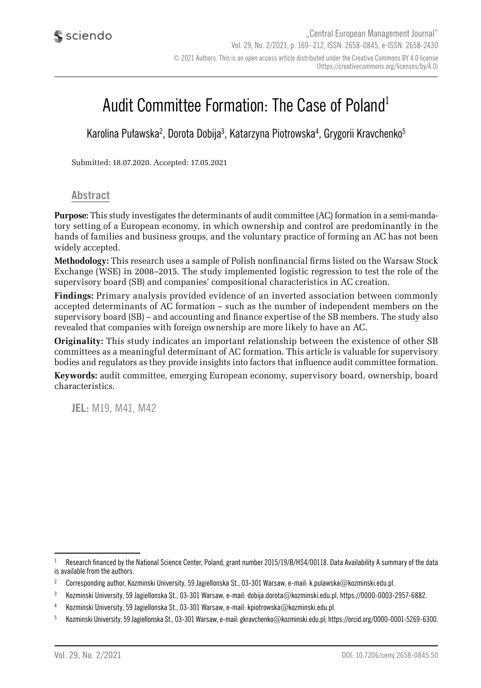# Audit Committee Formation: The Case of Poland1

Karolina Puławska<sup>2</sup>, Dorota Dobija<sup>3</sup>, Katarzyna Piotrowska<sup>4</sup>, Grygorii Kravchenko<sup>5</sup>

Submitted: 18.07.2020. Accepted: 17.05.2021

#### **Abstract**

**Purpose:** This study investigates the determinants of audit committee (AC) formation in a semi-mandatory setting of a European economy, in which ownership and control are predominantly in the hands of families and business groups, and the voluntary practice of forming an AC has not been widely accepted.

**Methodology:** This research uses a sample of Polish nonfinancial firms listed on the Warsaw Stock Exchange (WSE) in 2008–2015. The study implemented logistic regression to test the role of the supervisory board (SB) and companies' compositional characteristics in AC creation.

**Findings:** Primary analysis provided evidence of an inverted association between commonly accepted determinants of AC formation – such as the number of independent members on the supervisory board (SB) – and accounting and finance expertise of the SB members. The study also revealed that companies with foreign ownership are more likely to have an AC.

**Originality:** This study indicates an important relationship between the existence of other SB committees as a meaningful determinant of AC formation. This article is valuable for supervisory bodies and regulators as they provide insights into factors that influence audit committee formation.

**Keywords:** audit committee, emerging European economy, supervisory board, ownership, board characteristics.

**JEL:** M19, M41, M42

 $1$  Research financed by the National Science Center, Poland, grant number 2015/19/B/HS4/00118. Data Availability A summary of the data is available from the authors.

<sup>&</sup>lt;sup>2</sup> Corresponding author, Kozminski University, 59 Jagiellonska St., 03-301 Warsaw, e-mail: k.pulawska@kozminski.edu.pl.

<sup>3</sup> Kozminski University, 59 Jagiellonska St., 03-301 Warsaw, e-mail: dobija.dorota@kozminski.edu.pl, https://0000-0003-2957-6882.

<sup>4</sup> Kozminski University, 59 Jagiellonska St., 03-301 Warsaw, e-mail: kpiotrowska@kozminski.edu.pl.

<sup>5</sup> Kozminski University, 59 Jagiellonska St., 03-301 Warsaw, e-mail: gkravchenko@kozminski.edu.pl; https://orcid.org/0000-0001-5269-6300.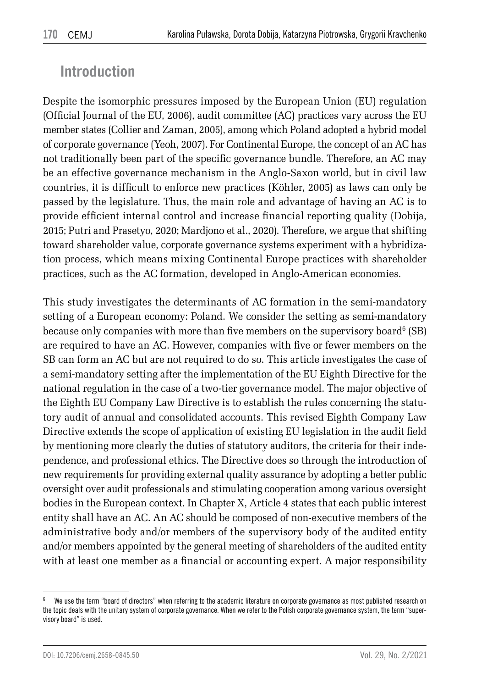## **Introduction**

Despite the isomorphic pressures imposed by the European Union (EU) regulation (Official Journal of the EU, 2006), audit committee (AC) practices vary across the EU member states (Collier and Zaman, 2005), among which Poland adopted a hybrid model of corporate governance (Yeoh, 2007). For Continental Europe, the concept of an AC has not traditionally been part of the specific governance bundle. Therefore, an AC may be an effective governance mechanism in the Anglo-Saxon world, but in civil law countries, it is difficult to enforce new practices (Köhler, 2005) as laws can only be passed by the legislature. Thus, the main role and advantage of having an AC is to provide efficient internal control and increase financial reporting quality (Dobija, 2015; Putri and Prasetyo, 2020; Mardjono et al., 2020). Therefore, we argue that shifting toward shareholder value, corporate governance systems experiment with a hybridization process, which means mixing Continental Europe practices with shareholder practices, such as the AC formation, developed in Anglo-American economies.

This study investigates the determinants of AC formation in the semi-mandatory setting of a European economy: Poland. We consider the setting as semi-mandatory because only companies with more than five members on the supervisory board<sup>6</sup> (SB) are required to have an AC. However, companies with five or fewer members on the SB can form an AC but are not required to do so. This article investigates the case of a semi-mandatory setting after the implementation of the EU Eighth Directive for the national regulation in the case of a two-tier governance model. The major objective of the Eighth EU Company Law Directive is to establish the rules concerning the statutory audit of annual and consolidated accounts. This revised Eighth Company Law Directive extends the scope of application of existing EU legislation in the audit field by mentioning more clearly the duties of statutory auditors, the criteria for their independence, and professional ethics. The Directive does so through the introduction of new requirements for providing external quality assurance by adopting a better public oversight over audit professionals and stimulating cooperation among various oversight bodies in the European context. In Chapter X, Article 4 states that each public interest entity shall have an AC. An AC should be composed of non-executive members of the administrative body and/or members of the supervisory body of the audited entity and/or members appointed by the general meeting of shareholders of the audited entity with at least one member as a financial or accounting expert. A major responsibility

<sup>6</sup> We use the term "board of directors" when referring to the academic literature on corporate governance as most published research on the topic deals with the unitary system of corporate governance. When we refer to the Polish corporate governance system, the term "supervisory board" is used.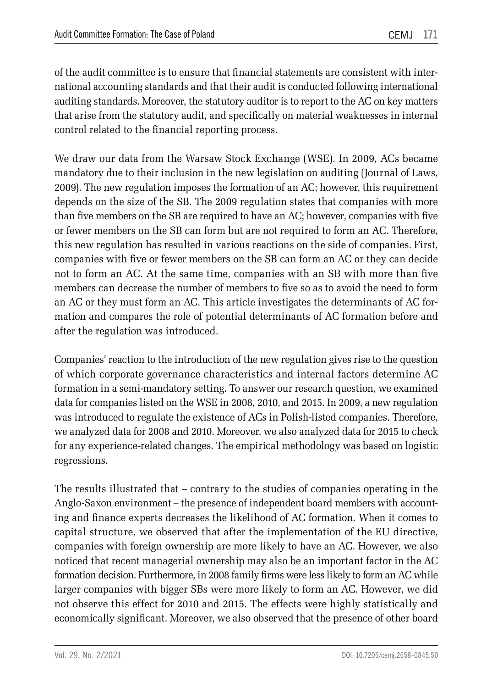of the audit committee is to ensure that financial statements are consistent with international accounting standards and that their audit is conducted following international auditing standards. Moreover, the statutory auditor is to report to the AC on key matters that arise from the statutory audit, and specifically on material weaknesses in internal control related to the financial reporting process.

We draw our data from the Warsaw Stock Exchange (WSE). In 2009, ACs became mandatory due to their inclusion in the new legislation on auditing (Journal of Laws, 2009). The new regulation imposes the formation of an AC; however, this requirement depends on the size of the SB. The 2009 regulation states that companies with more than five members on the SB are required to have an AC; however, companies with five or fewer members on the SB can form but are not required to form an AC. Therefore, this new regulation has resulted in various reactions on the side of companies. First, companies with five or fewer members on the SB can form an AC or they can decide not to form an AC. At the same time, companies with an SB with more than five members can decrease the number of members to five so as to avoid the need to form an AC or they must form an AC. This article investigates the determinants of AC formation and compares the role of potential determinants of AC formation before and after the regulation was introduced.

Companies' reaction to the introduction of the new regulation gives rise to the question of which corporate governance characteristics and internal factors determine AC formation in a semi-mandatory setting. To answer our research question, we examined data for companies listed on the WSE in 2008, 2010, and 2015. In 2009, a new regulation was introduced to regulate the existence of ACs in Polish-listed companies. Therefore, we analyzed data for 2008 and 2010. Moreover, we also analyzed data for 2015 to check for any experience-related changes. The empirical methodology was based on logistic regressions.

The results illustrated that – contrary to the studies of companies operating in the Anglo-Saxon environment – the presence of independent board members with accounting and finance experts decreases the likelihood of AC formation. When it comes to capital structure, we observed that after the implementation of the EU directive, companies with foreign ownership are more likely to have an AC. However, we also noticed that recent managerial ownership may also be an important factor in the AC formation decision. Furthermore, in 2008 family firms were less likely to form an AC while larger companies with bigger SBs were more likely to form an AC. However, we did not observe this effect for 2010 and 2015. The effects were highly statistically and economically significant. Moreover, we also observed that the presence of other board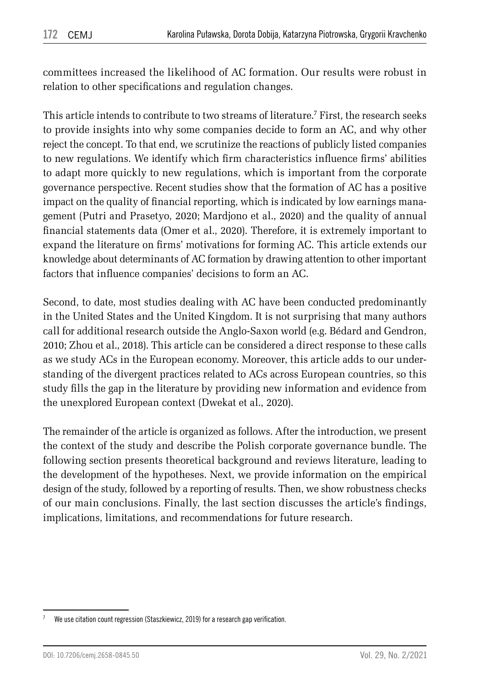committees increased the likelihood of AC formation. Our results were robust in relation to other specifications and regulation changes.

This article intends to contribute to two streams of literature.<sup>7</sup> First, the research seeks to provide insights into why some companies decide to form an AC, and why other reject the concept. To that end, we scrutinize the reactions of publicly listed companies to new regulations. We identify which firm characteristics influence firms' abilities to adapt more quickly to new regulations, which is important from the corporate governance perspective. Recent studies show that the formation of AC has a positive impact on the quality of financial reporting, which is indicated by low earnings management (Putri and Prasetyo, 2020; Mardjono et al., 2020) and the quality of annual financial statements data (Omer et al., 2020). Therefore, it is extremely important to expand the literature on firms' motivations for forming AC. This article extends our knowledge about determinants of AC formation by drawing attention to other important factors that influence companies' decisions to form an AC.

Second, to date, most studies dealing with AC have been conducted predominantly in the United States and the United Kingdom. It is not surprising that many authors call for additional research outside the Anglo-Saxon world (e.g. Bédard and Gendron, 2010; Zhou et al., 2018). This article can be considered a direct response to these calls as we study ACs in the European economy. Moreover, this article adds to our understanding of the divergent practices related to ACs across European countries, so this study fills the gap in the literature by providing new information and evidence from the unexplored European context (Dwekat et al., 2020).

The remainder of the article is organized as follows. After the introduction, we present the context of the study and describe the Polish corporate governance bundle. The following section presents theoretical background and reviews literature, leading to the development of the hypotheses. Next, we provide information on the empirical design of the study, followed by a reporting of results. Then, we show robustness checks of our main conclusions. Finally, the last section discusses the article's findings, implications, limitations, and recommendations for future research.

We use citation count regression (Staszkiewicz, 2019) for a research gap verification.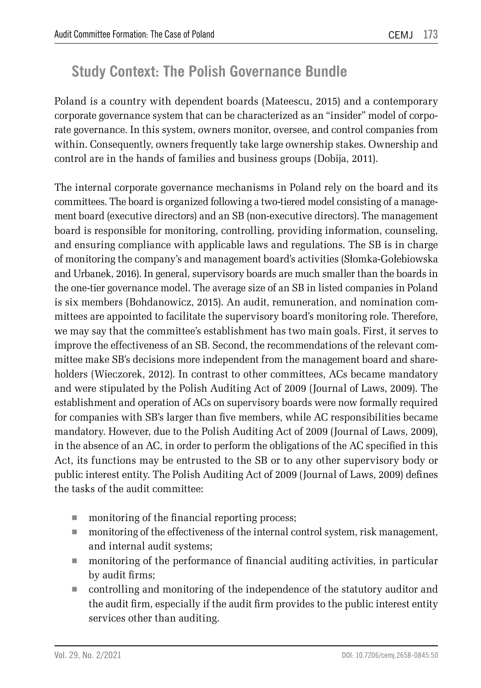# **Study Context: The Polish Governance Bundle**

Poland is a country with dependent boards (Mateescu, 2015) and a contemporary corporate governance system that can be characterized as an "insider" model of corporate governance. In this system, owners monitor, oversee, and control companies from within. Consequently, owners frequently take large ownership stakes. Ownership and control are in the hands of families and business groups (Dobija, 2011).

The internal corporate governance mechanisms in Poland rely on the board and its committees. The board is organized following a two-tiered model consisting of a management board (executive directors) and an SB (non-executive directors). The management board is responsible for monitoring, controlling, providing information, counseling, and ensuring compliance with applicable laws and regulations. The SB is in charge of monitoring the company's and management board's activities (Słomka-Gołebiowska and Urbanek, 2016). In general, supervisory boards are much smaller than the boards in the one-tier governance model. The average size of an SB in listed companies in Poland is six members (Bohdanowicz, 2015). An audit, remuneration, and nomination committees are appointed to facilitate the supervisory board's monitoring role. Therefore, we may say that the committee's establishment has two main goals. First, it serves to improve the effectiveness of an SB. Second, the recommendations of the relevant committee make SB's decisions more independent from the management board and shareholders (Wieczorek, 2012). In contrast to other committees, ACs became mandatory and were stipulated by the Polish Auditing Act of 2009 (Journal of Laws, 2009). The establishment and operation of ACs on supervisory boards were now formally required for companies with SB's larger than five members, while AC responsibilities became mandatory. However, due to the Polish Auditing Act of 2009 (Journal of Laws, 2009), in the absence of an AC, in order to perform the obligations of the AC specified in this Act, its functions may be entrusted to the SB or to any other supervisory body or public interest entity. The Polish Auditing Act of 2009 (Journal of Laws, 2009) defines the tasks of the audit committee:

- monitoring of the financial reporting process;
- monitoring of the effectiveness of the internal control system, risk management, and internal audit systems;
- monitoring of the performance of financial auditing activities, in particular by audit firms;
- controlling and monitoring of the independence of the statutory auditor and the audit firm, especially if the audit firm provides to the public interest entity services other than auditing.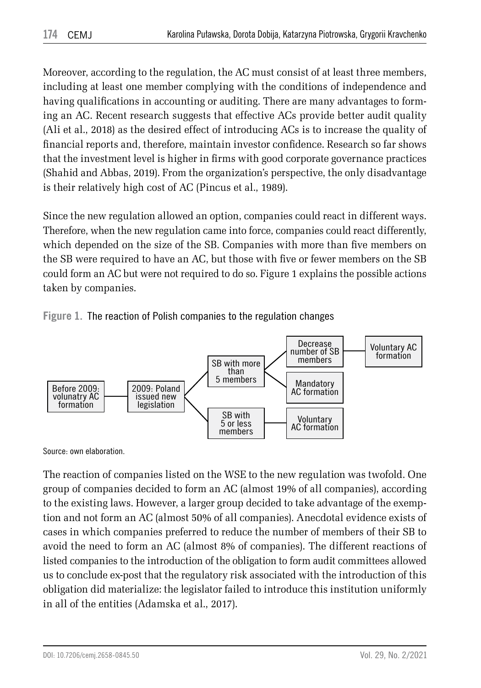Moreover, according to the regulation, the AC must consist of at least three members, including at least one member complying with the conditions of independence and having qualifications in accounting or auditing. There are many advantages to forming an AC. Recent research suggests that effective ACs provide better audit quality (Ali et al., 2018) as the desired effect of introducing ACs is to increase the quality of financial reports and, therefore, maintain investor confidence. Research so far shows that the investment level is higher in firms with good corporate governance practices (Shahid and Abbas, 2019). From the organization's perspective, the only disadvantage is their relatively high cost of AC (Pincus et al., 1989).

Since the new regulation allowed an option, companies could react in different ways. Therefore, when the new regulation came into force, companies could react differently, which depended on the size of the SB. Companies with more than five members on the SB were required to have an AC, but those with five or fewer members on the SB could form an AC but were not required to do so. Figure 1 explains the possible actions taken by companies.





Source: own elaboration.

The reaction of companies listed on the WSE to the new regulation was twofold. One group of companies decided to form an AC (almost 19% of all companies), according to the existing laws. However, a larger group decided to take advantage of the exemption and not form an AC (almost 50% of all companies). Anecdotal evidence exists of cases in which companies preferred to reduce the number of members of their SB to avoid the need to form an AC (almost 8% of companies). The different reactions of listed companies to the introduction of the obligation to form audit committees allowed us to conclude ex-post that the regulatory risk associated with the introduction of this obligation did materialize: the legislator failed to introduce this institution uniformly in all of the entities (Adamska et al., 2017).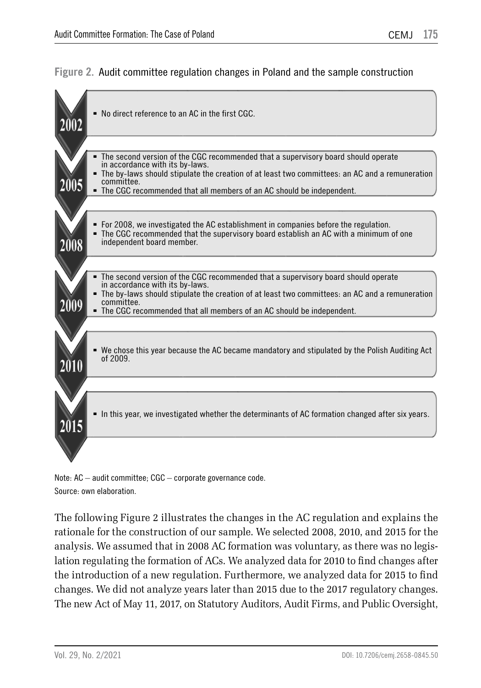#### **Figure 2.** Audit committee regulation changes in Poland and the sample construction



Note: AC – audit committee; CGC – corporate governance code. Source: own elaboration.

The following Figure 2 illustrates the changes in the AC regulation and explains the rationale for the construction of our sample. We selected 2008, 2010, and 2015 for the analysis. We assumed that in 2008 AC formation was voluntary, as there was no legislation regulating the formation of ACs. We analyzed data for 2010 to find changes after the introduction of a new regulation. Furthermore, we analyzed data for 2015 to find changes. We did not analyze years later than 2015 due to the 2017 regulatory changes. The new Act of May 11, 2017, on Statutory Auditors, Audit Firms, and Public Oversight,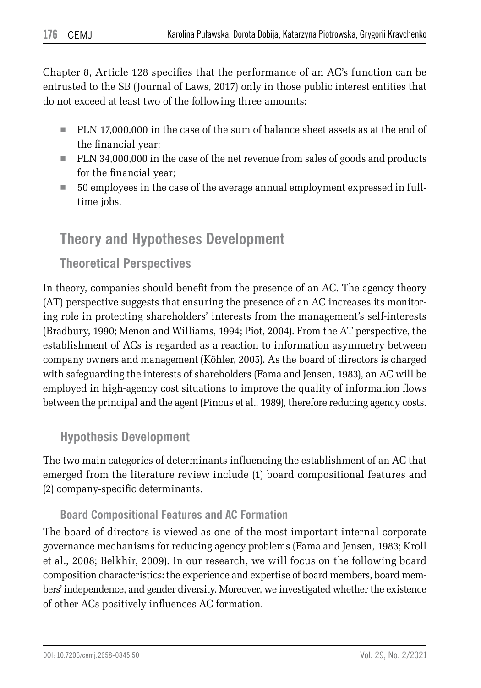Chapter 8, Article 128 specifies that the performance of an AC's function can be entrusted to the SB (Journal of Laws, 2017) only in those public interest entities that do not exceed at least two of the following three amounts:

- PLN 17,000,000 in the case of the sum of balance sheet assets as at the end of the financial year;
- PLN 34,000,000 in the case of the net revenue from sales of goods and products for the financial year;
- 50 employees in the case of the average annual employment expressed in fulltime jobs.

## **Theory and Hypotheses Development**

## **Theoretical Perspectives**

In theory, companies should benefit from the presence of an AC. The agency theory (AT) perspective suggests that ensuring the presence of an AC increases its monitoring role in protecting shareholders' interests from the management's self-interests (Bradbury, 1990; Menon and Williams, 1994; Piot, 2004). From the AT perspective, the establishment of ACs is regarded as a reaction to information asymmetry between company owners and management (Köhler, 2005). As the board of directors is charged with safeguarding the interests of shareholders (Fama and Jensen, 1983), an AC will be employed in high-agency cost situations to improve the quality of information flows between the principal and the agent (Pincus et al., 1989), therefore reducing agency costs.

## **Hypothesis Development**

The two main categories of determinants influencing the establishment of an AC that emerged from the literature review include (1) board compositional features and (2) company-specific determinants.

### **Board Compositional Features and AC Formation**

The board of directors is viewed as one of the most important internal corporate governance mechanisms for reducing agency problems (Fama and Jensen, 1983; Kroll et al., 2008; Belkhir, 2009). In our research, we will focus on the following board composition characteristics: the experience and expertise of board members, board members' independence, and gender diversity. Moreover, we investigated whether the existence of other ACs positively influences AC formation.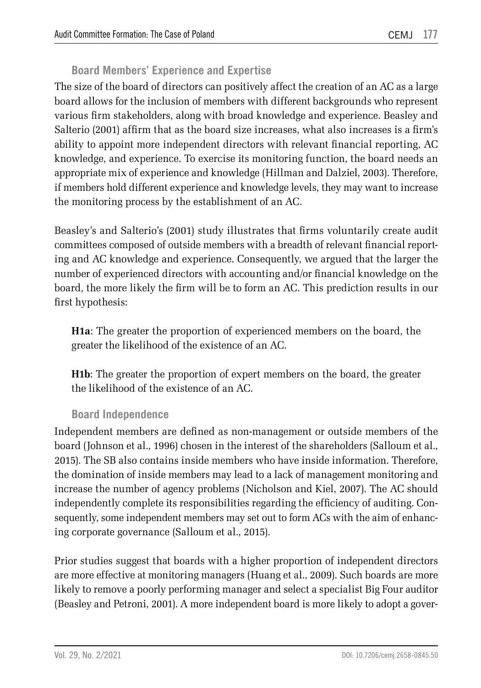### **Board Members' Experience and Expertise**

The size of the board of directors can positively affect the creation of an AC as a large board allows for the inclusion of members with different backgrounds who represent various firm stakeholders, along with broad knowledge and experience. Beasley and Salterio (2001) affirm that as the board size increases, what also increases is a firm's ability to appoint more independent directors with relevant financial reporting, AC knowledge, and experience. To exercise its monitoring function, the board needs an appropriate mix of experience and knowledge (Hillman and Dalziel, 2003). Therefore, if members hold different experience and knowledge levels, they may want to increase the monitoring process by the establishment of an AC.

Beasley's and Salterio's (2001) study illustrates that firms voluntarily create audit committees composed of outside members with a breadth of relevant financial reporting and AC knowledge and experience. Consequently, we argued that the larger the number of experienced directors with accounting and/or financial knowledge on the board, the more likely the firm will be to form an AC. This prediction results in our first hypothesis:

**H1a**: The greater the proportion of experienced members on the board, the greater the likelihood of the existence of an AC.

**H1b**: The greater the proportion of expert members on the board, the greater the likelihood of the existence of an AC.

#### **Board Independence**

Independent members are defined as non-management or outside members of the board (Johnson et al., 1996) chosen in the interest of the shareholders (Salloum et al., 2015). The SB also contains inside members who have inside information. Therefore, the domination of inside members may lead to a lack of management monitoring and increase the number of agency problems (Nicholson and Kiel, 2007). The AC should independently complete its responsibilities regarding the efficiency of auditing. Consequently, some independent members may set out to form ACs with the aim of enhancing corporate governance (Salloum et al., 2015).

Prior studies suggest that boards with a higher proportion of independent directors are more effective at monitoring managers (Huang et al., 2009). Such boards are more likely to remove a poorly performing manager and select a specialist Big Four auditor (Beasley and Petroni, 2001). A more independent board is more likely to adopt a gover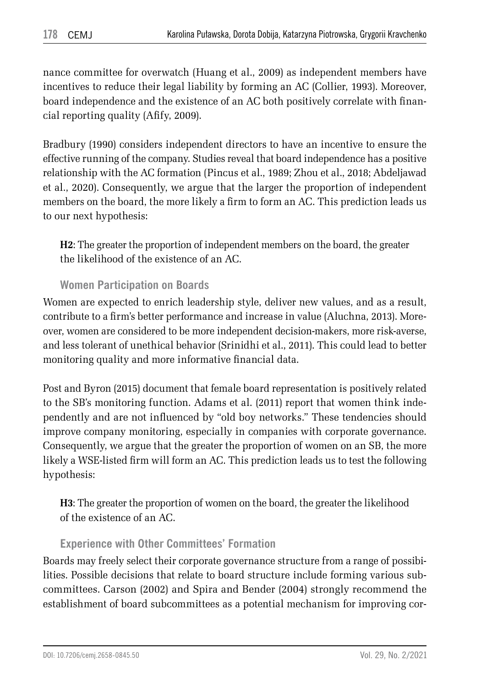nance committee for overwatch (Huang et al., 2009) as independent members have incentives to reduce their legal liability by forming an AC (Collier, 1993). Moreover, board independence and the existence of an AC both positively correlate with financial reporting quality (Afify, 2009).

Bradbury (1990) considers independent directors to have an incentive to ensure the effective running of the company. Studies reveal that board independence has a positive relationship with the AC formation (Pincus et al., 1989; Zhou et al., 2018; Abdeljawad et al., 2020). Consequently, we argue that the larger the proportion of independent members on the board, the more likely a firm to form an AC. This prediction leads us to our next hypothesis:

**H2**: The greater the proportion of independent members on the board, the greater the likelihood of the existence of an AC.

#### **Women Participation on Boards**

Women are expected to enrich leadership style, deliver new values, and as a result, contribute to a firm's better performance and increase in value (Aluchna, 2013). Moreover, women are considered to be more independent decision-makers, more risk-averse, and less tolerant of unethical behavior (Srinidhi et al., 2011). This could lead to better monitoring quality and more informative financial data.

Post and Byron (2015) document that female board representation is positively related to the SB's monitoring function. Adams et al. (2011) report that women think independently and are not influenced by "old boy networks." These tendencies should improve company monitoring, especially in companies with corporate governance. Consequently, we argue that the greater the proportion of women on an SB, the more likely a WSE-listed firm will form an AC. This prediction leads us to test the following hypothesis:

**H3**: The greater the proportion of women on the board, the greater the likelihood of the existence of an AC.

### **Experience with Other Committees' Formation**

Boards may freely select their corporate governance structure from a range of possibilities. Possible decisions that relate to board structure include forming various subcommittees. Carson (2002) and Spira and Bender (2004) strongly recommend the establishment of board subcommittees as a potential mechanism for improving cor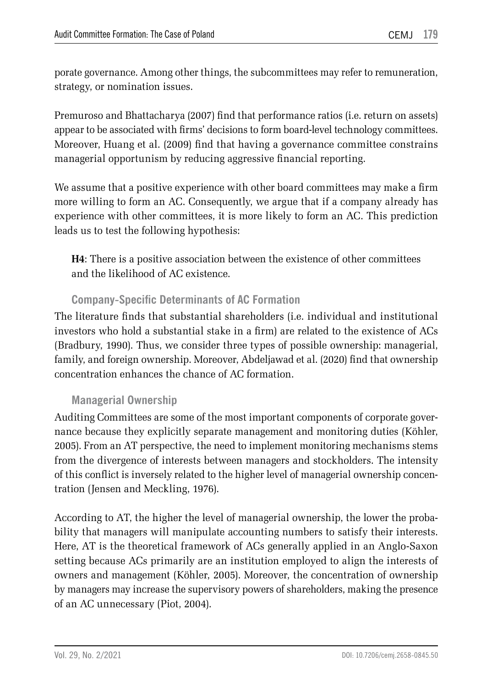porate governance. Among other things, the subcommittees may refer to remuneration, strategy, or nomination issues.

Premuroso and Bhattacharya (2007) find that performance ratios (i.e. return on assets) appear to be associated with firms' decisions to form board-level technology committees. Moreover, Huang et al. (2009) find that having a governance committee constrains managerial opportunism by reducing aggressive financial reporting.

We assume that a positive experience with other board committees may make a firm more willing to form an AC. Consequently, we argue that if a company already has experience with other committees, it is more likely to form an AC. This prediction leads us to test the following hypothesis:

**H4**: There is a positive association between the existence of other committees and the likelihood of AC existence.

#### **Company-Specific Determinants of AC Formation**

The literature finds that substantial shareholders (i.e. individual and institutional investors who hold a substantial stake in a firm) are related to the existence of ACs (Bradbury, 1990). Thus, we consider three types of possible ownership: managerial, family, and foreign ownership. Moreover, Abdeljawad et al. (2020) find that ownership concentration enhances the chance of AC formation.

#### **Managerial Ownership**

Auditing Committees are some of the most important components of corporate governance because they explicitly separate management and monitoring duties (Köhler, 2005). From an AT perspective, the need to implement monitoring mechanisms stems from the divergence of interests between managers and stockholders. The intensity of this conflict is inversely related to the higher level of managerial ownership concentration (Jensen and Meckling, 1976).

According to AT, the higher the level of managerial ownership, the lower the probability that managers will manipulate accounting numbers to satisfy their interests. Here, AT is the theoretical framework of ACs generally applied in an Anglo-Saxon setting because ACs primarily are an institution employed to align the interests of owners and management (Köhler, 2005). Moreover, the concentration of ownership by managers may increase the supervisory powers of shareholders, making the presence of an AC unnecessary (Piot, 2004).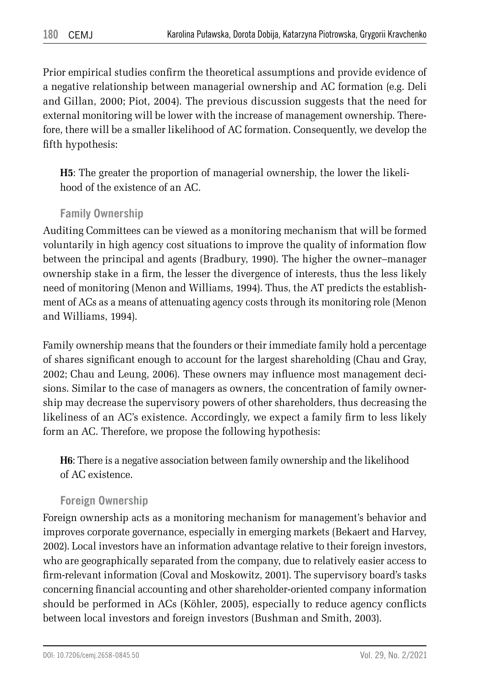Prior empirical studies confirm the theoretical assumptions and provide evidence of a negative relationship between managerial ownership and AC formation (e.g. Deli and Gillan, 2000; Piot, 2004). The previous discussion suggests that the need for external monitoring will be lower with the increase of management ownership. Therefore, there will be a smaller likelihood of AC formation. Consequently, we develop the fifth hypothesis:

**H5**: The greater the proportion of managerial ownership, the lower the likelihood of the existence of an AC.

#### **Family Ownership**

Auditing Committees can be viewed as a monitoring mechanism that will be formed voluntarily in high agency cost situations to improve the quality of information flow between the principal and agents (Bradbury, 1990). The higher the owner–manager ownership stake in a firm, the lesser the divergence of interests, thus the less likely need of monitoring (Menon and Williams, 1994). Thus, the AT predicts the establishment of ACs as a means of attenuating agency costs through its monitoring role (Menon and Williams, 1994).

Family ownership means that the founders or their immediate family hold a percentage of shares significant enough to account for the largest shareholding (Chau and Gray, 2002; Chau and Leung, 2006). These owners may influence most management decisions. Similar to the case of managers as owners, the concentration of family ownership may decrease the supervisory powers of other shareholders, thus decreasing the likeliness of an AC's existence. Accordingly, we expect a family firm to less likely form an AC. Therefore, we propose the following hypothesis:

**H6**: There is a negative association between family ownership and the likelihood of AC existence.

#### **Foreign Ownership**

Foreign ownership acts as a monitoring mechanism for management's behavior and improves corporate governance, especially in emerging markets (Bekaert and Harvey, 2002). Local investors have an information advantage relative to their foreign investors, who are geographically separated from the company, due to relatively easier access to firm-relevant information (Coval and Moskowitz, 2001). The supervisory board's tasks concerning financial accounting and other shareholder-oriented company information should be performed in ACs (Köhler, 2005), especially to reduce agency conflicts between local investors and foreign investors (Bushman and Smith, 2003).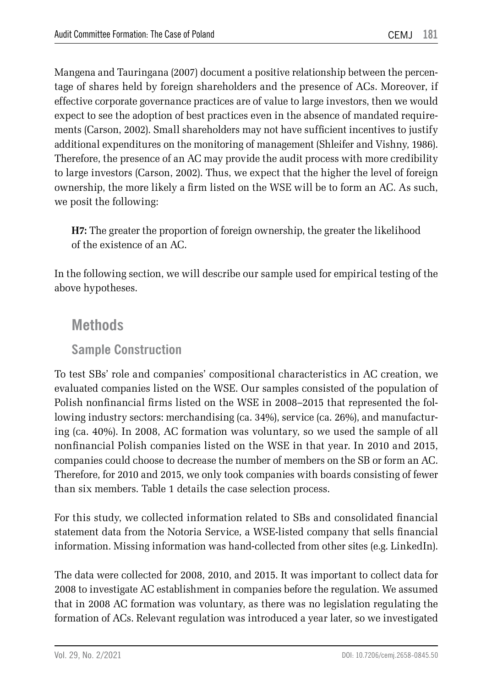Mangena and Tauringana (2007) document a positive relationship between the percentage of shares held by foreign shareholders and the presence of ACs. Moreover, if effective corporate governance practices are of value to large investors, then we would expect to see the adoption of best practices even in the absence of mandated requirements (Carson, 2002). Small shareholders may not have sufficient incentives to justify additional expenditures on the monitoring of management (Shleifer and Vishny, 1986). Therefore, the presence of an AC may provide the audit process with more credibility to large investors (Carson, 2002). Thus, we expect that the higher the level of foreign ownership, the more likely a firm listed on the WSE will be to form an AC. As such, we posit the following:

**H7:** The greater the proportion of foreign ownership, the greater the likelihood of the existence of an AC.

In the following section, we will describe our sample used for empirical testing of the above hypotheses.

## **Methods**

### **Sample Construction**

To test SBs' role and companies' compositional characteristics in AC creation, we evaluated companies listed on the WSE. Our samples consisted of the population of Polish nonfinancial firms listed on the WSE in 2008–2015 that represented the following industry sectors: merchandising (ca. 34%), service (ca. 26%), and manufacturing (ca. 40%). In 2008, AC formation was voluntary, so we used the sample of all nonfinancial Polish companies listed on the WSE in that year. In 2010 and 2015, companies could choose to decrease the number of members on the SB or form an AC. Therefore, for 2010 and 2015, we only took companies with boards consisting of fewer than six members. Table 1 details the case selection process.

For this study, we collected information related to SBs and consolidated financial statement data from the Notoria Service, a WSE-listed company that sells financial information. Missing information was hand-collected from other sites (e.g. LinkedIn).

The data were collected for 2008, 2010, and 2015. It was important to collect data for 2008 to investigate AC establishment in companies before the regulation. We assumed that in 2008 AC formation was voluntary, as there was no legislation regulating the formation of ACs. Relevant regulation was introduced a year later, so we investigated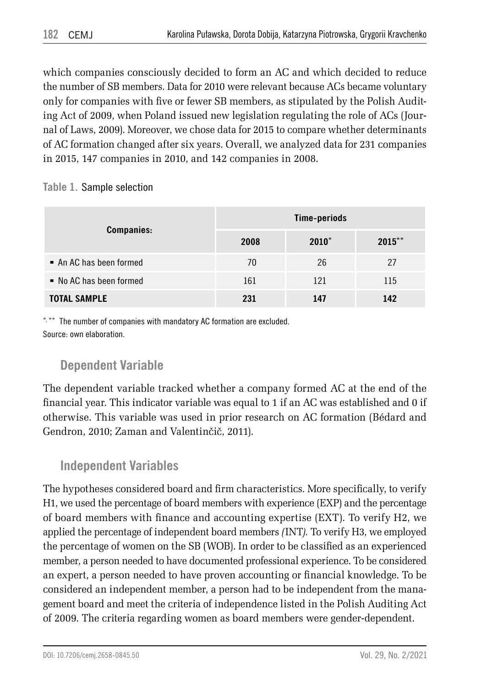which companies consciously decided to form an AC and which decided to reduce the number of SB members. Data for 2010 were relevant because ACs became voluntary only for companies with five or fewer SB members, as stipulated by the Polish Auditing Act of 2009, when Poland issued new legislation regulating the role of ACs (Journal of Laws, 2009). Moreover, we chose data for 2015 to compare whether determinants of AC formation changed after six years. Overall, we analyzed data for 231 companies in 2015, 147 companies in 2010, and 142 companies in 2008.

**Table 1.** Sample selection

|                                      |      | Time-periods |           |
|--------------------------------------|------|--------------|-----------|
| <b>Companies:</b>                    | 2008 | $2010*$      | $2015***$ |
| $\blacksquare$ An AC has been formed | 70   | 26           | 27        |
| • No AC has been formed              | 161  | 121          | 115       |
| <b>TOTAL SAMPLE</b>                  | 231  | 147          | 142       |

\*, \*\* The number of companies with mandatory AC formation are excluded. Source: own elaboration.

## **Dependent Variable**

The dependent variable tracked whether a company formed AC at the end of the financial year. This indicator variable was equal to 1 if an AC was established and 0 if otherwise. This variable was used in prior research on AC formation (Bédard and Gendron, 2010; Zaman and Valentinčič, 2011).

## **Independent Variables**

The hypotheses considered board and firm characteristics. More specifically, to verify H1, we used the percentage of board members with experience (EXP) and the percentage of board members with finance and accounting expertise (EXT). To verify H2, we applied the percentage of independent board members *(*INT*).* To verify H3, we employed the percentage of women on the SB (WOB). In order to be classified as an experienced member, a person needed to have documented professional experience. To be considered an expert, a person needed to have proven accounting or financial knowledge. To be considered an independent member, a person had to be independent from the management board and meet the criteria of independence listed in the Polish Auditing Act of 2009. The criteria regarding women as board members were gender-dependent.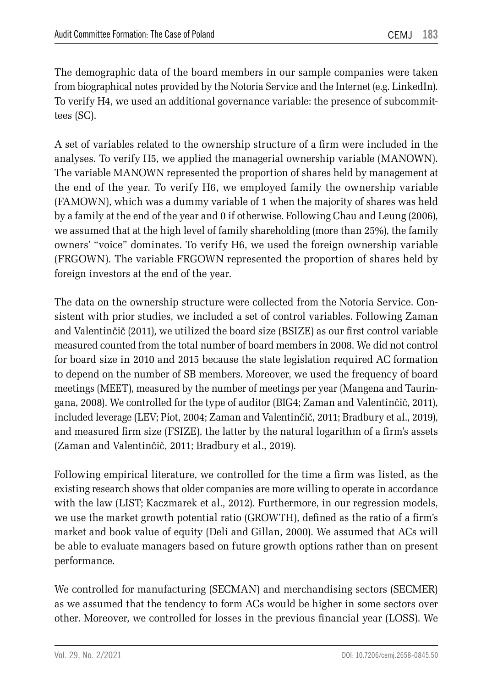The demographic data of the board members in our sample companies were taken from biographical notes provided by the Notoria Service and the Internet (e.g. LinkedIn). To verify H4, we used an additional governance variable: the presence of subcommittees (SC).

A set of variables related to the ownership structure of a firm were included in the analyses. To verify H5, we applied the managerial ownership variable (MANOWN). The variable MANOWN represented the proportion of shares held by management at the end of the year. To verify H6, we employed family the ownership variable (FAMOWN), which was a dummy variable of 1 when the majority of shares was held by a family at the end of the year and 0 if otherwise. Following Chau and Leung (2006), we assumed that at the high level of family shareholding (more than 25%), the family owners' "voice" dominates. To verify H6, we used the foreign ownership variable (FRGOWN). The variable FRGOWN represented the proportion of shares held by foreign investors at the end of the year.

The data on the ownership structure were collected from the Notoria Service. Consistent with prior studies, we included a set of control variables. Following Zaman and Valentinčič (2011), we utilized the board size (BSIZE) as our first control variable measured counted from the total number of board members in 2008. We did not control for board size in 2010 and 2015 because the state legislation required AC formation to depend on the number of SB members. Moreover, we used the frequency of board meetings (MEET), measured by the number of meetings per year (Mangena and Tauringana, 2008). We controlled for the type of auditor (BIG4; Zaman and Valentinčič, 2011), included leverage (LEV; Piot, 2004; Zaman and Valentinčič, 2011; Bradbury et al., 2019), and measured firm size (FSIZE), the latter by the natural logarithm of a firm's assets (Zaman and Valentinčič, 2011; Bradbury et al., 2019).

Following empirical literature, we controlled for the time a firm was listed, as the existing research shows that older companies are more willing to operate in accordance with the law (LIST; Kaczmarek et al., 2012). Furthermore, in our regression models, we use the market growth potential ratio (GROWTH), defined as the ratio of a firm's market and book value of equity (Deli and Gillan, 2000). We assumed that ACs will be able to evaluate managers based on future growth options rather than on present performance.

We controlled for manufacturing (SECMAN) and merchandising sectors (SECMER) as we assumed that the tendency to form ACs would be higher in some sectors over other. Moreover, we controlled for losses in the previous financial year (LOSS). We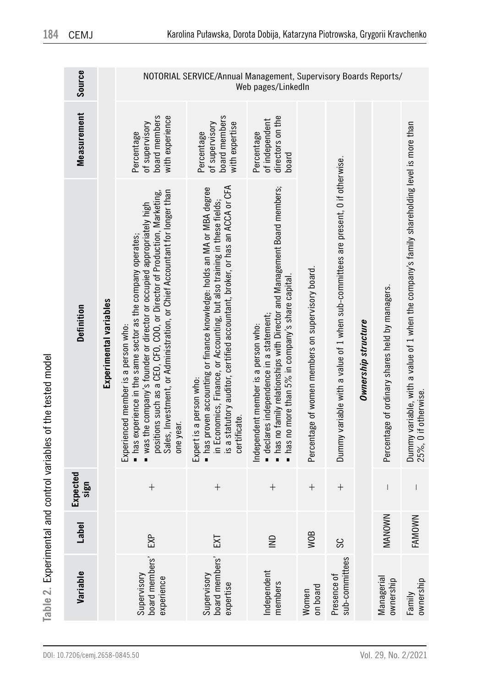| <b>אממי</b>     |
|-----------------|
| i               |
|                 |
|                 |
| í<br>:<br>המת כ |
|                 |
| í<br>I          |
|                 |

| Variable                                   | Label         | Expected<br>sign         | Definition                                                                                                                                                                                                                                                                                                                                          | Measurement                                                      | Source                                                          |
|--------------------------------------------|---------------|--------------------------|-----------------------------------------------------------------------------------------------------------------------------------------------------------------------------------------------------------------------------------------------------------------------------------------------------------------------------------------------------|------------------------------------------------------------------|-----------------------------------------------------------------|
|                                            |               |                          | Experimental variables                                                                                                                                                                                                                                                                                                                              |                                                                  |                                                                 |
| board members<br>Supervisory<br>experience | EXP           | $\overline{+}$           | Sales, Investment, or Administration, or Chief Accountant for longer than<br>positions such as a CEO, CFO, COO, or Director of Production, Marketing,<br>" was the company's founder or director or occupied appropriately high<br>• has experience in the same sector as the company operates;<br>Experienced member is a person who:<br>one year. | board members<br>with experience<br>of supervisory<br>Percentage |                                                                 |
| board members'<br>Supervisory<br>expertise | <b>EXT</b>    | $^{+}$                   | is a statutory auditor, certified accountant, broker, or has an ACCA or CFA<br>nas proven accounting or finance knowledge: holds an MA or MBA degree<br>in Economics, Finance, or Accounting, but also training in these fields;<br>Expert is a person who:<br>certificate                                                                          | board members<br>of supervisory<br>with expertise<br>Percentage  | NOTORIAL SERVICE/Annual Management, Supervisory Boards Reports/ |
| Independent<br>nembers                     | $\subseteq$   | $^{+}$                   | · has no family relationships with Director and Management Board members;<br>■ has no more than 5% in company's share capital<br>· declares independence in a statement;<br>Independent member is a person who:                                                                                                                                     | directors on the<br>of independent<br>Percentage<br>board        | Web pages/LinkedIn                                              |
| on board<br>Women                          | <b>WOB</b>    | $^{+}$                   | Percentage of women members on supervisory board.                                                                                                                                                                                                                                                                                                   |                                                                  |                                                                 |
| sub-committees<br>Presence of              | SC            | $^{+}$                   | Dummy variable with a value of 1 when sub-committees are present, 0 if otherwise.                                                                                                                                                                                                                                                                   |                                                                  |                                                                 |
|                                            |               |                          | Ownership structure                                                                                                                                                                                                                                                                                                                                 |                                                                  |                                                                 |
| Managerial<br>ownership                    | <b>MANOWN</b> | $\overline{\phantom{a}}$ | Percentage of ordinary shares held by managers.                                                                                                                                                                                                                                                                                                     |                                                                  |                                                                 |
| ownership<br>Family                        | FAMOWN        | $\overline{\phantom{a}}$ | Dummy variable, with a value of $1$ when the company's family shareholding level is more than<br>25%, 0 if otherwise.                                                                                                                                                                                                                               |                                                                  |                                                                 |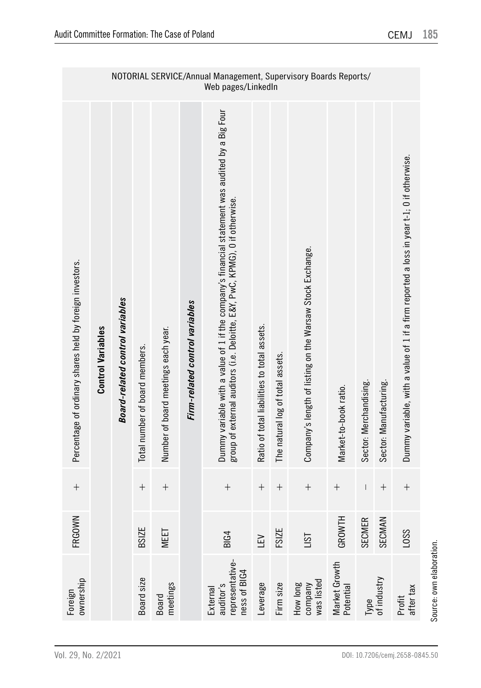|                                                          |                          |                                 |                                |                                     |                                | NOTORIAL SERVICE/Annual Management, Supervisory Boards Reports/<br>Web pages/LinkedIn                                                                                          |                                             |                                  |                                                           |                            |                        |                        |                                                                                          |
|----------------------------------------------------------|--------------------------|---------------------------------|--------------------------------|-------------------------------------|--------------------------------|--------------------------------------------------------------------------------------------------------------------------------------------------------------------------------|---------------------------------------------|----------------------------------|-----------------------------------------------------------|----------------------------|------------------------|------------------------|------------------------------------------------------------------------------------------|
| Percentage of ordinary shares held by foreign investors. | <b>Control Variables</b> | Board-related control variables | Total number of board members. | Number of board meetings each year. | Firm-related control variables | Dummy variable with a value of 1 if the company's financial statement was audited by a Big Four<br>group of external auditors (i.e. Deloitte, E&Y, PwC, KPMG), 0 if otherwise. | Ratio of total liabilities to total assets. | The natural log of total assets. | Company's length of listing on the Warsaw Stock Exchange. | Market-to-book ratio.      | Sector: Merchandising. | Sector: Manufacturing. | Dummy variable, with a value of 1 if a firm reported a loss in year t-1; 0 if otherwise. |
|                                                          |                          |                                 |                                | $^{+}$                              |                                | $^{+}$                                                                                                                                                                         | $^{+}$                                      | $\! + \!$                        |                                                           | $\! + \!$                  | $\mathsf{I}$           |                        | $^{+}$                                                                                   |
| FRGOWN                                                   |                          |                                 | <b>BSIZE</b>                   | MEET                                |                                | <b>BIG4</b>                                                                                                                                                                    | LEV                                         | FSIZE                            | ISI                                                       | GROWTH                     | <b>SECMER</b>          | SECMAN                 | L <sub>0</sub> SS                                                                        |
| ownership<br>Foreign                                     |                          |                                 | Board size                     | meetings<br>Board                   |                                | representative-<br>ness of BIG4<br>auditor's<br>External                                                                                                                       | Leverage                                    | Firm size                        | was listed<br>How long<br>company                         | Market Growth<br>Potential |                        | Type<br>of industry    | after <sub>tax</sub><br>Profit                                                           |

Source: own elaboration. Source: own elaboration.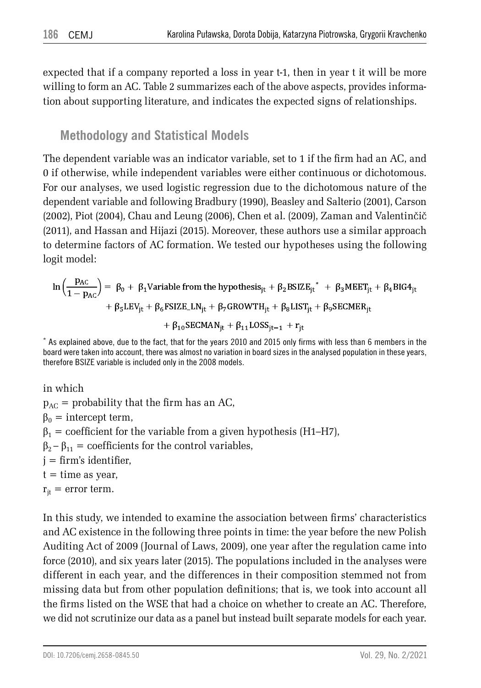expected that if a company reported a loss in year t-1, then in year t it will be more willing to form an AC. Table 2 summarizes each of the above aspects, provides information about supporting literature, and indicates the expected signs of relationships.

## **Methodology and Statistical Models**

The dependent variable was an indicator variable, set to 1 if the firm had an AC, and 0 if otherwise, while independent variables were either continuous or dichotomous. For our analyses, we used logistic regression due to the dichotomous nature of the dependent variable and following Bradbury (1990), Beasley and Salterio (2001), Carson (2002), Piot (2004), Chau and Leung (2006), Chen et al. (2009), Zaman and Valentinčič (2011), and Hassan and Hijazi (2015). Moreover, these authors use a similar approach to determine factors of AC formation. We tested our hypotheses using the following logit model:

$$
\ln\left(\frac{p_{AC}}{1-p_{AC}}\right) = \beta_0 + \beta_1 \text{Variable from the hypothesis}_{jt} + \beta_2 \text{BSIZE}_{jt}^* + \beta_3 \text{MEET}_{jt} + \beta_4 \text{BIG4}_{jt} + \beta_5 \text{LEV}_{jt} + \beta_6 \text{FSIZE\_LN}_{jt} + \beta_7 \text{GROWTH}_{jt} + \beta_8 \text{LIST}_{jt} + \beta_9 \text{SECMER}_{jt} + \beta_{10} \text{SECMAN}_{it} + \beta_{11} \text{LOSS}_{it-1} + r_{it}
$$

\* As explained above, due to the fact, that for the years 2010 and 2015 only firms with less than 6 members in the board were taken into account, there was almost no variation in board sizes in the analysed population in these years, therefore BSIZE variable is included only in the 2008 models.

in which

 $p_{AC}$  = probability that the firm has an AC,  $β<sub>0</sub> =$  intercept term,  $\beta_1$  = coefficient for the variable from a given hypothesis (H1–H7),  $\beta_2 - \beta_{11}$  = coefficients for the control variables, j = firm's identifier,  $t =$  time as year,  $r_{it}$  = error term.

In this study, we intended to examine the association between firms' characteristics and AC existence in the following three points in time: the year before the new Polish Auditing Act of 2009 (Journal of Laws, 2009), one year after the regulation came into force (2010), and six years later (2015). The populations included in the analyses were different in each year, and the differences in their composition stemmed not from missing data but from other population definitions; that is, we took into account all the firms listed on the WSE that had a choice on whether to create an AC. Therefore, we did not scrutinize our data as a panel but instead built separate models for each year.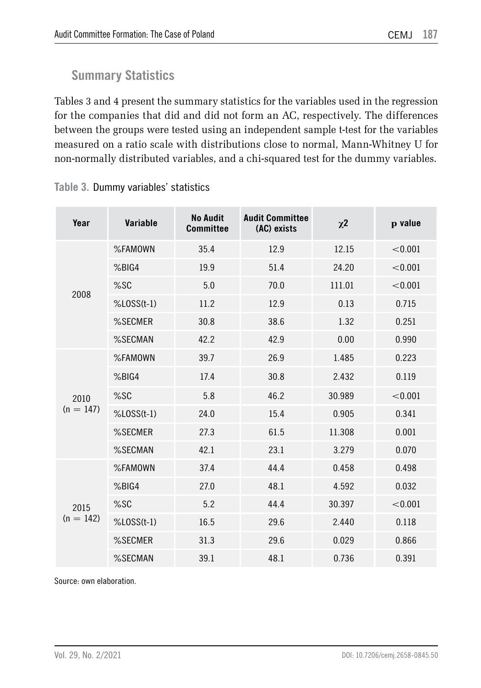## **Summary Statistics**

Tables 3 and 4 present the summary statistics for the variables used in the regression for the companies that did and did not form an AC, respectively. The differences between the groups were tested using an independent sample t-test for the variables measured on a ratio scale with distributions close to normal, Mann-Whitney U for non-normally distributed variables, and a chi-squared test for the dummy variables.

| Year        | Variable         | <b>No Audit</b><br><b>Committee</b> | <b>Audit Committee</b><br>(AC) exists | $\chi^2$ | p value |
|-------------|------------------|-------------------------------------|---------------------------------------|----------|---------|
|             | %FAMOWN          | 35.4                                | 12.9                                  | 12.15    | < 0.001 |
|             | %BIG4            | 19.9                                | 51.4                                  | 24.20    | < 0.001 |
| 2008        | %SC              | 5.0                                 | 70.0                                  | 111.01   | < 0.001 |
|             | $%$ LOSS $(t-1)$ | 11.2                                | 12.9                                  | 0.13     | 0.715   |
|             | %SECMER          | 30.8                                | 38.6                                  | 1.32     | 0.251   |
|             | %SECMAN          | 42.2                                | 42.9                                  | 0.00     | 0.990   |
|             | %FAMOWN          | 39.7                                | 26.9                                  | 1.485    | 0.223   |
|             | %BIG4            | 17.4                                | 30.8                                  | 2.432    | 0.119   |
| 2010        | %SC              | 5.8                                 | 46.2                                  | 30.989   | < 0.001 |
| $(n = 147)$ | $%$ LOSS $(t-1)$ | 24.0                                | 15.4                                  | 0.905    | 0.341   |
|             | %SECMER          | 27.3                                | 61.5                                  | 11.308   | 0.001   |
|             | %SECMAN          | 42.1                                | 23.1                                  | 3.279    | 0.070   |
|             | %FAMOWN          | 37.4                                | 44.4                                  | 0.458    | 0.498   |
|             | %BIG4            | 27.0                                | 48.1                                  | 4.592    | 0.032   |
| 2015        | %SC              | 5.2                                 | 44.4                                  | 30.397   | < 0.001 |
| $(n = 142)$ | $%$ LOSS $(t-1)$ | 16.5                                | 29.6                                  | 2.440    | 0.118   |
|             | %SECMER          | 31.3                                | 29.6                                  | 0.029    | 0.866   |
|             | %SECMAN          | 39.1                                | 48.1                                  | 0.736    | 0.391   |

**Table 3.** Dummy variables' statistics

Source: own elaboration.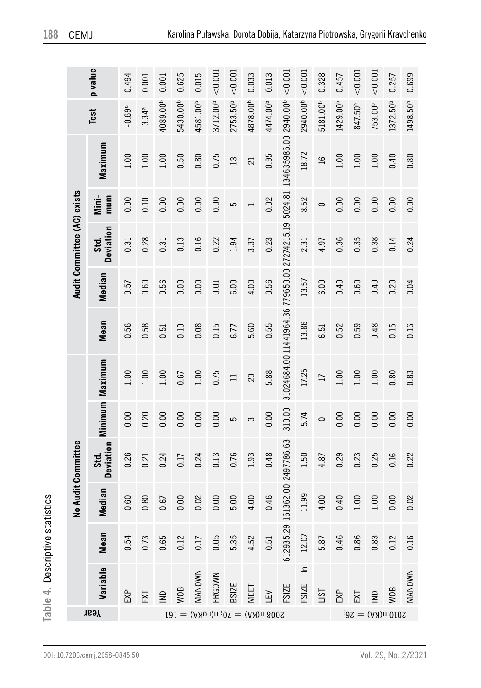|                             | p value           | 0.494                | 0.001             | 0.001                | 0.625                | 0.015                | < 0.001              | < 0.001                                                 | 0.033           | 0.013                | < 0.001                                    | < 0.001                  | 0.328                | 0.457                | ${}_{0.001}$        | < 0.001             | 0.257                | 0.699                |
|-----------------------------|-------------------|----------------------|-------------------|----------------------|----------------------|----------------------|----------------------|---------------------------------------------------------|-----------------|----------------------|--------------------------------------------|--------------------------|----------------------|----------------------|---------------------|---------------------|----------------------|----------------------|
|                             | Test              | $-0.69$ <sup>a</sup> | 3.34 <sup>a</sup> | 4089.00 <sup>b</sup> | 5430.00 <sup>b</sup> | 4581.00 <sup>b</sup> | 3712.00 <sup>b</sup> | 2753.50 <sup>b</sup>                                    | 4878.00b        | 4474.00 <sup>b</sup> |                                            | 2940.00 <sup>b</sup>     | 5181.00 <sup>b</sup> | 1429.00 <sup>b</sup> | 847.50 <sup>b</sup> | 753.00 <sup>b</sup> | 1372.50 <sup>b</sup> | 1498.50 <sup>b</sup> |
|                             | Maximum           | 1.00                 | 1.00              | 1.00                 | 0.50                 | 0.80                 | 0.75                 | $\overline{13}$                                         | $\overline{21}$ | 0.95                 | 134635986.00 2940.00 <sup>b</sup>          | 18.72                    | $\frac{1}{2}$        | 1.00                 | 1.00                | 1.00                | 0.40                 | 0.80                 |
|                             | Mini-<br>mu m     | 0.00                 | 0.10              | 0.00                 | 0.00                 | 0.00                 | 0.00                 | 5                                                       |                 | 0.02                 | 5024.81                                    | 8.52                     | $\circ$              | 0.00                 | 0.00                | 0.00                | 0.00                 | 0.00                 |
| Audit Committee (AC) exists | Deviation<br>Std. | 0.31                 | 0.28              | 0.31                 | 0.13                 | 0.16                 | 0.22                 | 1.94                                                    | 3.37            | 0.23                 | 31024684.0011441964.36779650.0027274215.19 | 2.31                     | 4.97                 | 0.36                 | 0.35                | 0.38                | 0.14                 | 0.24                 |
|                             | Median            | 0.57                 | 0.60              | 0.56                 | 0.00                 | 0.00                 | 0.01                 | 6.00                                                    | 4.00            | 0.56                 |                                            | 13.57                    | 6.00                 | 0.40                 | 0.60                | 0.40                | 0.20                 | 0.04                 |
|                             | Mean              | 0.56                 | 0.58              | 0.51                 | 0.10                 | 0.08                 | 0.15                 | 6.77                                                    | 5.60            | 0.55                 |                                            | 13.86                    | 6.51                 | 0.52                 | 0.59                | 0.48                | 0.15                 | 0.16                 |
|                             | Maximum           | 00                   | 1.00              | 1.00                 | 0.67                 | 1.00                 | 0.75                 | $\equiv$                                                | 20              | 5.88                 |                                            | 17.25                    | $\Box$               | 1.00                 | 1.00                | 1.00                | 0.80                 | 0.83                 |
|                             | Minimum           | 0.00                 | 0.20              | 0.00                 | 0.00                 | 0.00                 | 0.00                 | 5                                                       | S               | 0.00                 | 310.00                                     | 5.74                     | $\circ$              | 0.00                 | 0.00                | 0.00                | 0.00                 | 0.00                 |
| No Audit Committee          | Deviation<br>Std. | 0.26                 | 0.21              | 0.24                 | 0.17                 | 0.24                 | 0.13                 | 0.76                                                    | 1.93            | 0.48                 | 2497786.63                                 | 1.50                     | 4.87                 | 0.29                 | 0.23                | 0.25                | 0.16                 | 0.22                 |
|                             | Median            | 0.60                 | 0.80              | 0.67                 | 0.00                 | 0.02                 | 0.00                 | 5.00                                                    | 4.00            | 0.46                 | 61362.00                                   | 11.99                    | 4.00                 | 0.40                 | 1.00                | 1.00                | 0.00                 | 0.02                 |
|                             | Mean              | 0.54                 | 0.73              | 0.65                 | 0.12                 | 0.17                 | 0.05                 | 5.35                                                    | 4.52            | 0.51                 | 612935.29                                  | 12.07                    | 5.87                 | 0.46                 | 0.86                | 0.83                | 0.12                 | 0.16                 |
|                             | Variable          | EXP                  | EХ                | $\supseteq$          | <b>WOB</b>           | MANOWN               | FRGOWN               | <b>BSIZE</b>                                            | MEET            | Ξ                    | FSIZE                                      | $\equiv$<br><b>FSIZE</b> | <b>ISI</b>           | EXP                  | Σ                   | $\supseteq$         | <b>WOB</b>           | MANOWN               |
|                             | Year              |                      |                   |                      |                      |                      |                      | $101 = (A \lambda 0n)n$ ; $0\nabla = (A \lambda)n$ 800S |                 |                      |                                            |                          |                      |                      |                     | $6010$ n(KA) = 26;  |                      |                      |

**Table 4.** Descriptive statistics

Table 4. Descriptive statistics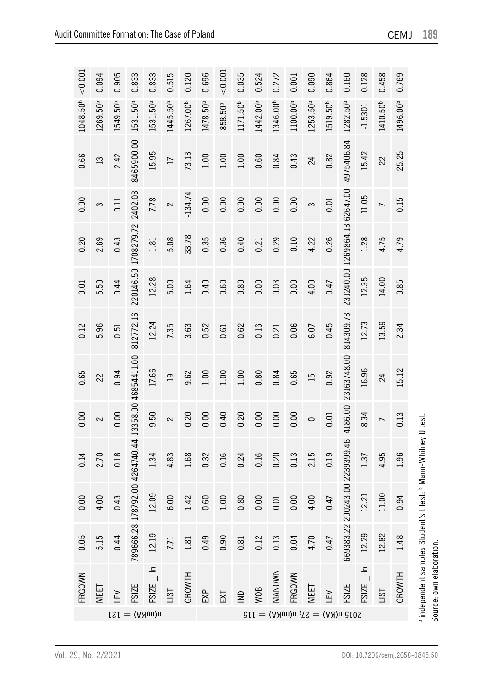| < 0.001<br>0.458<br>0.696<br>0.035<br>0.864<br>0.128<br>0.905<br>0.833<br>0.833<br>0.515<br>0.120<br>0.524<br>0.272<br>0.160<br>0.769<br>0.090<br>0.001<br>1346.00 <sup>b</sup><br>1253.50 <sup>b</sup><br>1171.50 <sup>b</sup><br>1442.00b<br>1100.00 <sup>b</sup><br>1519.50 <sup>b</sup><br>1282.50 <sup>b</sup><br>1410.50 <sup>b</sup><br>1496.00 <sup>b</sup><br>549.50 <sup>b</sup><br>1445.50 <sup>b</sup><br>1267.00 <sup>b</sup><br>1478.50 <sup>b</sup><br>1531.50 <sup>b</sup><br>1531.50 <sup>b</sup><br>858.50 <sup>b</sup><br>$-1.5301$<br>4975406.84<br>8465900.00<br>25.25<br>15.95<br>73.13<br>15.42<br>0.43<br>1.00<br>0.84<br>0.82<br>2.42<br>1.00<br>1.00<br>0.60<br>22<br>24<br>$\Box$<br>62647.00<br>2402.03<br>$-134.74$<br>11.05<br>0.00<br>7.78<br>0.00<br>0.00<br>0.00<br>0.00<br>0.00<br>0.15<br>0.01<br>$\frac{11}{11}$<br>$\overline{ }$<br>3<br>3<br>2<br>1269864.13<br>1708279.72<br>33.78<br>0.35<br>4.75<br>0.36<br>0.40<br>0.26<br>1.28<br>4.79<br>0.43<br>5.08<br>0.29<br>0.10<br>4.22<br>1.81<br>0.21<br>231240.00<br>220146.50<br>12.28<br>12.35<br>14.00<br>5.00<br>0.00<br>4.00<br>0.85<br>0.44<br>0.40<br>0.80<br>0.00<br>0.60<br>0.03<br>1.64<br>0.47<br>812772.16<br>814309.73<br>12.24<br>12.73<br>13.59<br>0.06<br>0.45<br>2.34<br>3.63<br>0.52<br>0.62<br>7.35<br>0.16<br>6.07<br>0.51<br>0.21<br>0.61<br>23163748.00<br>13358.00 46854411.00<br>16.96<br>17.66<br>15.12<br>0.94<br>1.00<br>1.00<br>0.80<br>0.84<br>0.65<br>0.92<br>9.62<br>1.00<br>$\overline{a}$<br>$\Xi$<br>24<br>4186.00<br>0.00<br>9.50<br>0.20<br>0.20<br>0.00<br>0.00<br>0.00<br>8.34<br>0.00<br>0.40<br>0.13<br>0.01<br>2<br>2<br>$\circ$<br>$\overline{ }$<br>4264740.44<br>669383.22 200243.00 2239399.46<br>0.18<br>0.16<br>0.16<br>0.20<br>2.15<br>4.95<br>1.96<br>4.83<br>1.68<br>0.32<br>0.24<br>0.13<br>0.19<br>1.34<br>1.37<br>8792.00<br>12.09<br>11.00<br>12.21<br>4.00<br>1.00<br>0.80<br>0.00<br>0.94<br>0.43<br>6.00<br>1.42<br>0.60<br>0.00<br>0.47<br>0.01<br>789666.2817<br>12.82<br>12.19<br>12.29<br>0.44<br>0.49<br>0.90<br>0.04<br>1.48<br>0.12<br>0.13<br>4.70<br>0.81<br>0.47<br>1.81<br>7.71<br>$\frac{a}{\pi}$<br>$FSIZE_{n}$ In<br>MANOWN<br>GROWTH<br>GROWTH<br>FRGOWN<br><b>FSIZE</b><br><b>FSIZE</b><br><b>FSIZE</b><br>MEET<br>MEET<br><b>WOB</b><br><b>ISL</b><br>EXP<br><u>isi</u><br>집<br>$\overline{2}$<br>ے<br>ا<br>EХ | FRGOWN | 0.05 | 0.00 | 0.14 | 0.00 | 0.65 | 0.12 | 0.01 | 0.20 | 0.00 | 0.66          | 1048.50 <sup>b</sup> | < 0.001 |
|--------------------------------------------------------------------------------------------------------------------------------------------------------------------------------------------------------------------------------------------------------------------------------------------------------------------------------------------------------------------------------------------------------------------------------------------------------------------------------------------------------------------------------------------------------------------------------------------------------------------------------------------------------------------------------------------------------------------------------------------------------------------------------------------------------------------------------------------------------------------------------------------------------------------------------------------------------------------------------------------------------------------------------------------------------------------------------------------------------------------------------------------------------------------------------------------------------------------------------------------------------------------------------------------------------------------------------------------------------------------------------------------------------------------------------------------------------------------------------------------------------------------------------------------------------------------------------------------------------------------------------------------------------------------------------------------------------------------------------------------------------------------------------------------------------------------------------------------------------------------------------------------------------------------------------------------------------------------------------------------------------------------------------------------------------------------------------------------------------------------------------------------------------------------------------------------------------------------------------------------------------------------------------------------------------------------------------------------------------------------------------|--------|------|------|------|------|------|------|------|------|------|---------------|----------------------|---------|
|                                                                                                                                                                                                                                                                                                                                                                                                                                                                                                                                                                                                                                                                                                                                                                                                                                                                                                                                                                                                                                                                                                                                                                                                                                                                                                                                                                                                                                                                                                                                                                                                                                                                                                                                                                                                                                                                                                                                                                                                                                                                                                                                                                                                                                                                                                                                                                                |        | 5.15 | 4.00 | 2.70 |      | 22   | 5.96 | 5.50 | 2.69 |      | $\mathbf{13}$ | 1269.50 <sup>b</sup> | 0.094   |
|                                                                                                                                                                                                                                                                                                                                                                                                                                                                                                                                                                                                                                                                                                                                                                                                                                                                                                                                                                                                                                                                                                                                                                                                                                                                                                                                                                                                                                                                                                                                                                                                                                                                                                                                                                                                                                                                                                                                                                                                                                                                                                                                                                                                                                                                                                                                                                                |        |      |      |      |      |      |      |      |      |      |               |                      |         |
|                                                                                                                                                                                                                                                                                                                                                                                                                                                                                                                                                                                                                                                                                                                                                                                                                                                                                                                                                                                                                                                                                                                                                                                                                                                                                                                                                                                                                                                                                                                                                                                                                                                                                                                                                                                                                                                                                                                                                                                                                                                                                                                                                                                                                                                                                                                                                                                |        |      |      |      |      |      |      |      |      |      |               |                      |         |
|                                                                                                                                                                                                                                                                                                                                                                                                                                                                                                                                                                                                                                                                                                                                                                                                                                                                                                                                                                                                                                                                                                                                                                                                                                                                                                                                                                                                                                                                                                                                                                                                                                                                                                                                                                                                                                                                                                                                                                                                                                                                                                                                                                                                                                                                                                                                                                                |        |      |      |      |      |      |      |      |      |      |               |                      |         |
|                                                                                                                                                                                                                                                                                                                                                                                                                                                                                                                                                                                                                                                                                                                                                                                                                                                                                                                                                                                                                                                                                                                                                                                                                                                                                                                                                                                                                                                                                                                                                                                                                                                                                                                                                                                                                                                                                                                                                                                                                                                                                                                                                                                                                                                                                                                                                                                |        |      |      |      |      |      |      |      |      |      |               |                      |         |
|                                                                                                                                                                                                                                                                                                                                                                                                                                                                                                                                                                                                                                                                                                                                                                                                                                                                                                                                                                                                                                                                                                                                                                                                                                                                                                                                                                                                                                                                                                                                                                                                                                                                                                                                                                                                                                                                                                                                                                                                                                                                                                                                                                                                                                                                                                                                                                                |        |      |      |      |      |      |      |      |      |      |               |                      |         |
|                                                                                                                                                                                                                                                                                                                                                                                                                                                                                                                                                                                                                                                                                                                                                                                                                                                                                                                                                                                                                                                                                                                                                                                                                                                                                                                                                                                                                                                                                                                                                                                                                                                                                                                                                                                                                                                                                                                                                                                                                                                                                                                                                                                                                                                                                                                                                                                |        |      |      |      |      |      |      |      |      |      |               |                      |         |
|                                                                                                                                                                                                                                                                                                                                                                                                                                                                                                                                                                                                                                                                                                                                                                                                                                                                                                                                                                                                                                                                                                                                                                                                                                                                                                                                                                                                                                                                                                                                                                                                                                                                                                                                                                                                                                                                                                                                                                                                                                                                                                                                                                                                                                                                                                                                                                                |        |      |      |      |      |      |      |      |      |      |               |                      |         |
|                                                                                                                                                                                                                                                                                                                                                                                                                                                                                                                                                                                                                                                                                                                                                                                                                                                                                                                                                                                                                                                                                                                                                                                                                                                                                                                                                                                                                                                                                                                                                                                                                                                                                                                                                                                                                                                                                                                                                                                                                                                                                                                                                                                                                                                                                                                                                                                |        |      |      |      |      |      |      |      |      |      |               |                      |         |
|                                                                                                                                                                                                                                                                                                                                                                                                                                                                                                                                                                                                                                                                                                                                                                                                                                                                                                                                                                                                                                                                                                                                                                                                                                                                                                                                                                                                                                                                                                                                                                                                                                                                                                                                                                                                                                                                                                                                                                                                                                                                                                                                                                                                                                                                                                                                                                                |        |      |      |      |      |      |      |      |      |      |               |                      |         |
|                                                                                                                                                                                                                                                                                                                                                                                                                                                                                                                                                                                                                                                                                                                                                                                                                                                                                                                                                                                                                                                                                                                                                                                                                                                                                                                                                                                                                                                                                                                                                                                                                                                                                                                                                                                                                                                                                                                                                                                                                                                                                                                                                                                                                                                                                                                                                                                |        |      |      |      |      |      |      |      |      |      |               |                      |         |
|                                                                                                                                                                                                                                                                                                                                                                                                                                                                                                                                                                                                                                                                                                                                                                                                                                                                                                                                                                                                                                                                                                                                                                                                                                                                                                                                                                                                                                                                                                                                                                                                                                                                                                                                                                                                                                                                                                                                                                                                                                                                                                                                                                                                                                                                                                                                                                                |        |      |      |      |      |      |      |      |      |      |               |                      |         |
|                                                                                                                                                                                                                                                                                                                                                                                                                                                                                                                                                                                                                                                                                                                                                                                                                                                                                                                                                                                                                                                                                                                                                                                                                                                                                                                                                                                                                                                                                                                                                                                                                                                                                                                                                                                                                                                                                                                                                                                                                                                                                                                                                                                                                                                                                                                                                                                |        |      |      |      |      |      |      |      |      |      |               |                      |         |
|                                                                                                                                                                                                                                                                                                                                                                                                                                                                                                                                                                                                                                                                                                                                                                                                                                                                                                                                                                                                                                                                                                                                                                                                                                                                                                                                                                                                                                                                                                                                                                                                                                                                                                                                                                                                                                                                                                                                                                                                                                                                                                                                                                                                                                                                                                                                                                                |        |      |      |      |      |      |      |      |      |      |               |                      |         |
|                                                                                                                                                                                                                                                                                                                                                                                                                                                                                                                                                                                                                                                                                                                                                                                                                                                                                                                                                                                                                                                                                                                                                                                                                                                                                                                                                                                                                                                                                                                                                                                                                                                                                                                                                                                                                                                                                                                                                                                                                                                                                                                                                                                                                                                                                                                                                                                |        |      |      |      |      |      |      |      |      |      |               |                      |         |
|                                                                                                                                                                                                                                                                                                                                                                                                                                                                                                                                                                                                                                                                                                                                                                                                                                                                                                                                                                                                                                                                                                                                                                                                                                                                                                                                                                                                                                                                                                                                                                                                                                                                                                                                                                                                                                                                                                                                                                                                                                                                                                                                                                                                                                                                                                                                                                                |        |      |      |      |      |      |      |      |      |      |               |                      |         |
|                                                                                                                                                                                                                                                                                                                                                                                                                                                                                                                                                                                                                                                                                                                                                                                                                                                                                                                                                                                                                                                                                                                                                                                                                                                                                                                                                                                                                                                                                                                                                                                                                                                                                                                                                                                                                                                                                                                                                                                                                                                                                                                                                                                                                                                                                                                                                                                |        |      |      |      |      |      |      |      |      |      |               |                      |         |
|                                                                                                                                                                                                                                                                                                                                                                                                                                                                                                                                                                                                                                                                                                                                                                                                                                                                                                                                                                                                                                                                                                                                                                                                                                                                                                                                                                                                                                                                                                                                                                                                                                                                                                                                                                                                                                                                                                                                                                                                                                                                                                                                                                                                                                                                                                                                                                                |        |      |      |      |      |      |      |      |      |      |               |                      |         |

a independent samples Student's t test; b Mann-Whitney U test.

a independent samples Student's t test; b Mann-Whitney U test.

Source: own elaboration.

Source: own elaboration.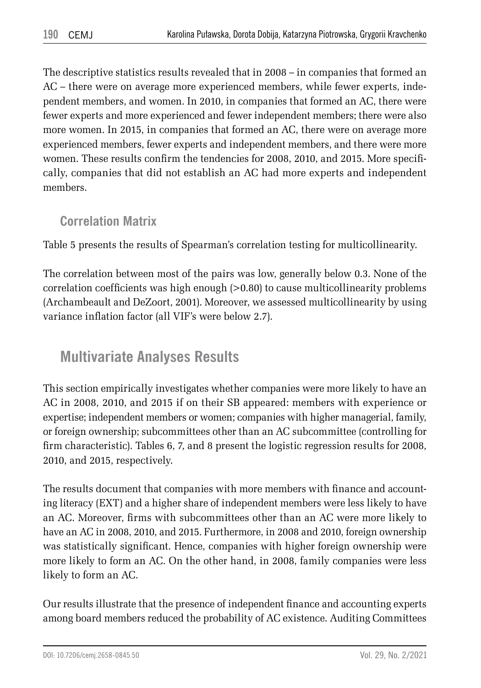The descriptive statistics results revealed that in 2008 – in companies that formed an AC – there were on average more experienced members, while fewer experts, independent members, and women. In 2010, in companies that formed an AC, there were fewer experts and more experienced and fewer independent members; there were also more women. In 2015, in companies that formed an AC, there were on average more experienced members, fewer experts and independent members, and there were more women. These results confirm the tendencies for 2008, 2010, and 2015. More specifically, companies that did not establish an AC had more experts and independent members.

### **Correlation Matrix**

Table 5 presents the results of Spearman's correlation testing for multicollinearity.

The correlation between most of the pairs was low, generally below 0.3. None of the correlation coefficients was high enough (>0.80) to cause multicollinearity problems (Archambeault and DeZoort, 2001). Moreover, we assessed multicollinearity by using variance inflation factor (all VIF's were below 2.7).

## **Multivariate Analyses Results**

This section empirically investigates whether companies were more likely to have an AC in 2008, 2010, and 2015 if on their SB appeared: members with experience or expertise; independent members or women; companies with higher managerial, family, or foreign ownership; subcommittees other than an AC subcommittee (controlling for firm characteristic). Tables 6, 7, and 8 present the logistic regression results for 2008, 2010, and 2015, respectively.

The results document that companies with more members with finance and accounting literacy (EXT) and a higher share of independent members were less likely to have an AC. Moreover, firms with subcommittees other than an AC were more likely to have an AC in 2008, 2010, and 2015. Furthermore, in 2008 and 2010, foreign ownership was statistically significant. Hence, companies with higher foreign ownership were more likely to form an AC. On the other hand, in 2008, family companies were less likely to form an AC.

Our results illustrate that the presence of independent finance and accounting experts among board members reduced the probability of AC existence. Auditing Committees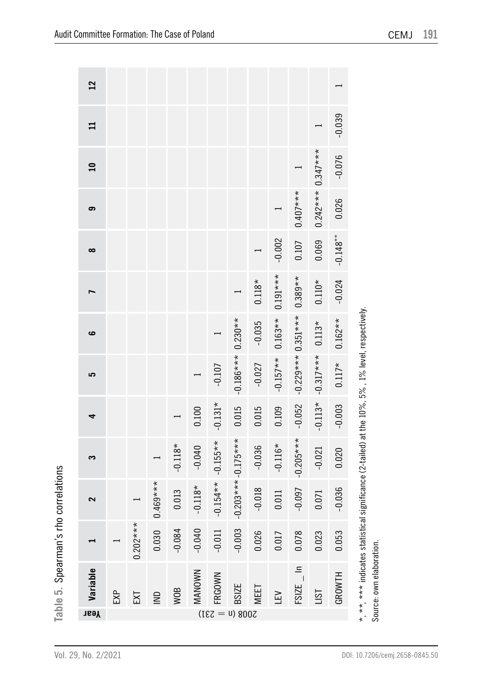| 12              |     |            |                |           |               |               |                      |          |                    |                     |                            |                  |
|-----------------|-----|------------|----------------|-----------|---------------|---------------|----------------------|----------|--------------------|---------------------|----------------------------|------------------|
|                 |     |            |                |           |               |               |                      |          |                    |                     |                            | $-0.039$         |
| $\overline{10}$ |     |            |                |           |               |               |                      |          |                    |                     |                            | $-0.076$         |
| ၜ               |     |            |                |           |               |               |                      |          |                    | $0.407***$          | $0.242***0.347***$         | 0.026            |
| $\infty$        |     |            |                |           |               |               |                      |          | $-0.002$           | 0.107               | 0.069                      | $-0.148***$      |
|                 |     |            |                |           |               |               |                      | $0.118*$ | $0.191***$         | $0.389**$           | $0.110*$                   | $-0.024$         |
| ဖ               |     |            |                |           |               |               |                      | $-0.035$ | $-0.157**$ 0.163** |                     |                            | $0.117* 0.162**$ |
| 5               |     |            |                |           |               | $-0.107$      | $-0.186***$ 0.230**  | $-0.027$ |                    | $-0.229***0.351***$ | $-0.113* -0.317***$ 0.113* |                  |
| 4               |     |            |                |           | 0.100         | $-0.131*$     | 0.015                | 0.015    | 0.109              | $-0.052$            |                            | $-0.003$         |
| S               |     |            |                | $-0.118*$ | $-0.040$      | $-0.155**$    |                      | $-0.036$ | $-0.116*$          | $-0.205***$         | $-0.021$                   | 0.020            |
| $\sim$          |     |            | $0.469***$     | 0.013     | $-0.118*$     | $-0.154**$    | $-0.203***-0.175***$ | $-0.018$ | 0.011              | $-0.097$            | 0.071                      | $-0.036$         |
|                 |     | $0.202***$ | 0.030          | $-0.084$  | $-0.040$      | $-0.011$      | $-0.003$             | 0.026    | 0.017              | 0.078               | 0.23                       | 0.053            |
| Variable        | EXP | ΣI         | $\overline{2}$ | WOB       | <b>MANOWN</b> | FRGOWN        | <b>BSIZE</b>         | MEET     | Ğ                  | $FSIZE$ $\ln$       | $-15$ T                    | GROWTH           |
| Year            |     |            |                |           |               | $(187 - 131)$ |                      |          |                    |                     |                            |                  |

\*, \*\*, \*\*\* indicates statistical significance (2-tailed) at the 10%, 5%, 1% level, respectively. \*, \*\*, \*\*\* indicates statistical significance (2-tailed) at the 10%, 5% , 1% level, respectively.

Source: own elaboration. Source: own elaboration.

**Table 5.** Spearman's rho correlations

Table 5. Spearman's rho correlations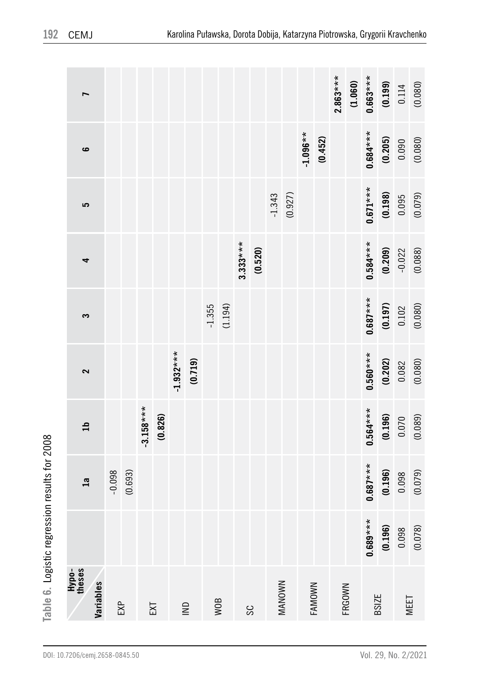|                              |          |         |             |         |             |             |          |         |            |         |          |         |            |         | $2.863***$ | (1.060) | $0.663***$   |                      | $(0.199)$<br>0.114 | (0.080) |
|------------------------------|----------|---------|-------------|---------|-------------|-------------|----------|---------|------------|---------|----------|---------|------------|---------|------------|---------|--------------|----------------------|--------------------|---------|
| မ                            |          |         |             |         |             |             |          |         |            |         |          |         | $-1.096**$ | (0.452) |            |         | $0.684***$   | $(0.205)$<br>$0.090$ |                    | (0.080) |
| 5                            |          |         |             |         |             |             |          |         |            |         | $-1.343$ | (0.927) |            |         |            |         | $0.671***$   | $(0.198)$<br>0.095   |                    | (0.079) |
| 4                            |          |         |             |         |             |             |          |         | $3.333***$ | (0.520) |          |         |            |         |            |         | $0.584***$   | (0.209)              |                    | (0.088) |
| S                            |          |         |             |         |             |             | $-1.355$ | (1.194) |            |         |          |         |            |         |            |         | $0.687***$   |                      | $(0.197)$<br>0.102 | (0.080) |
| 2                            |          |         |             |         | $-1.932***$ | (0.719)     |          |         |            |         |          |         |            |         |            |         | $0.560***$   | $(0.202)$<br>$0.082$ |                    | (0.080) |
| $\mathbf{a}$                 |          |         | $-3.158***$ | (0.826) |             |             |          |         |            |         |          |         |            |         |            |         | $0.564***$   |                      | $(0.196)$<br>0.070 | (0.089) |
| 1a                           | $-0.098$ | (0.693) |             |         |             |             |          |         |            |         |          |         |            |         |            |         | $0.687***$   | $(0.196)$<br>0.098   |                    | (0.079) |
|                              |          |         |             |         |             |             |          |         |            |         |          |         |            |         |            |         | $0.689***$   | (0.196)              | 0.098              | (0.078) |
| Hypo-<br>theses<br>Variables | EXP      |         |             | EXT     |             | $\supseteq$ |          | WOB     |            | SC      |          | MANOWN  |            | FAMOWN  |            | FRGOWN  | <b>BSIZE</b> |                      |                    | MEET    |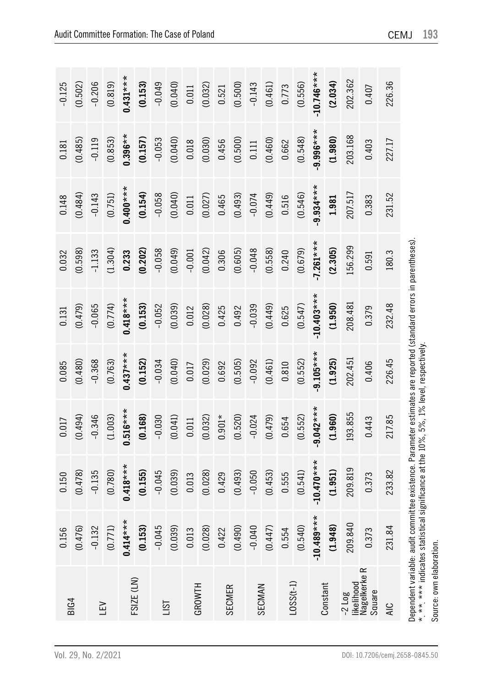| <b>BIG4</b>                                              | 0.156                                                                                                             | 0.150                                                    | 0.017      | 0.085       | 0.131        | 0.032       | 0.148      | 0.181      | $-0.125$     |
|----------------------------------------------------------|-------------------------------------------------------------------------------------------------------------------|----------------------------------------------------------|------------|-------------|--------------|-------------|------------|------------|--------------|
|                                                          | (0.476)                                                                                                           | (0.478)                                                  | (0.494)    | (0.480)     | (0.479)      | (0.598)     | (0.484)    | (0.485)    | (0.502)      |
| ΓFΛ                                                      | $-0.132$                                                                                                          | $-0.135$                                                 | $-0.346$   | $-0.368$    | $-0.065$     | $-1.133$    | $-0.143$   | $-0.119$   | $-0.206$     |
|                                                          | (0.771)                                                                                                           | (0.780)                                                  | (1.003)    | (0.763)     | (0.774)      | (1.304)     | (0.751)    | (0.853)    | (0.819)      |
|                                                          | $0.414***$                                                                                                        | $0.418***$                                               | $0.516***$ | $0.437***$  | $0.418***$   | 0.233       | $0.400***$ | $0.396**$  | $0.431***$   |
| FSIZE (LN)                                               | (0.153)                                                                                                           | (0.155)                                                  | (0.168)    | (0.152)     | (0.153)      | (0.202)     | (0.154)    | (0.157)    | (0.153)      |
|                                                          | $-0.045$                                                                                                          | $-0.045$                                                 | $-0.030$   | $-0.034$    | $-0.052$     | $-0.058$    | $-0.058$   | $-0.053$   | $-0.049$     |
| <b>LST</b>                                               | (0.039)                                                                                                           | (0.039)                                                  | (0.041)    | (0.040)     | (0.039)      | (0.049)     | (0.040)    | (0.040)    | (0.040)      |
| GROWTH                                                   | 0.013                                                                                                             | 0.013                                                    | 0.011      | 0.017       | 0.012        | $-0.001$    | 0.011      | 0.018      | 0.011        |
|                                                          | (0.028)                                                                                                           | (0.028)                                                  | (0.032)    | (0.029)     | (0.028)      | (0.042)     | (0.027)    | (0.030)    | (0.032)      |
| <b>SECMER</b>                                            | 0.422                                                                                                             | 0.429                                                    | $0.901*$   | 0.692       | 0.425        | 0.306       | 0.465      | 0.456      | 0.521        |
|                                                          | (0.490)                                                                                                           | (0.493)                                                  | (0.520)    | (0.505)     | 0.492        | (0.605)     | (0.493)    | (0.500)    | (0.500)      |
| SECMAN                                                   | $-0.040$                                                                                                          | $-0.050$                                                 | $-0.024$   | $-0.092$    | $-0.039$     | $-0.048$    | $-0.074$   | 0.111      | $-0.143$     |
|                                                          | (0.447)                                                                                                           | (0.453)                                                  | (0.479)    | (0.461)     | (0.449)      | (0.558)     | (0.449)    | (0.460)    | (0.461)      |
| $LOSS(t-1)$                                              | 0.554                                                                                                             | 0.555                                                    | 0.654      | 0.810       | 0.625        | 0.240       | 0.516      | 0.662      | 0.773        |
|                                                          | (0.540)                                                                                                           | (0.541)                                                  | (0.552)    | (0.552)     | (0.547)      | (0.679)     | (0.546)    | (0.548)    | (0.556)      |
| Constant                                                 | $-10.489***$                                                                                                      | $-10.470***$                                             | $9.042***$ | $-9.105***$ | $-10.403***$ | $-7.261***$ | $9.934***$ | $9.996***$ | $-10.746***$ |
|                                                          | (1.948)                                                                                                           | (1.951)                                                  | (1.960)    | (1.925)     | (1.950)      | (2.305)     | 1.981      | (1.980)    | (2.034)      |
| likelihood<br>$-2$ $log$                                 | 209.840                                                                                                           | 209.819                                                  | 193.855    | 202.451     | 208.481      | 156.299     | 207.517    | 203.168    | 202.362      |
| Nagelkerke R<br>Square                                   | 0.373                                                                                                             | 0.373                                                    | 0.443      | 0.406       | 0.379        | 0.591       | 0.383      | 0.403      | 0.407        |
| <b>AIC</b>                                               | 231.84                                                                                                            | 233.82                                                   | 217.85     | 226.45      | 232.48       | 180.3       | 231.52     | 227.17     | 226.36       |
| * ** *** indicates statistic<br>Source: own elaboration. | Dependent variable: audit committee existence. Parameter estimates are reported (standard errors in parentheses). | cal significance at the 10%, 5%, 1% level, respectively. |            |             |              |             |            |            |              |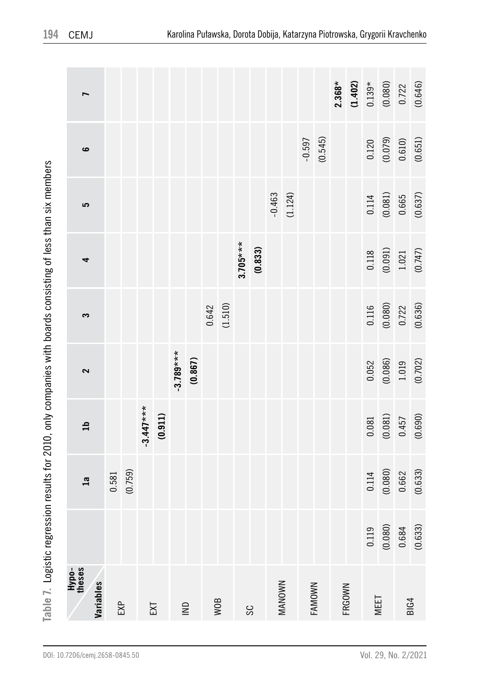| :<br>:      |
|-------------|
|             |
|             |
| ໍ່          |
| ،<br>،<br>5 |
| ı<br>l      |
|             |
|             |
| í<br>I<br>I |
|             |
| j<br>I      |
| I           |
| ¢<br>Ā      |

| $\mathfrak{n}$<br>$\mathfrak{a}$ | Variables |       |         |             |         |             |         |                    |            |         |                     |          |         |                                                | 0.119 | (0.080)                                                              | 0.684 | (0.633) |
|----------------------------------|-----------|-------|---------|-------------|---------|-------------|---------|--------------------|------------|---------|---------------------|----------|---------|------------------------------------------------|-------|----------------------------------------------------------------------|-------|---------|
|                                  |           | 0.581 | (0.759) |             |         |             |         |                    |            |         |                     |          |         |                                                |       | $\begin{array}{c} 0.114 \\ 0.080) \\ 0.662 \end{array}$              |       | (0.633) |
|                                  |           |       |         | $-3.447***$ | (0.911) |             |         |                    |            |         |                     |          |         |                                                |       | $\begin{array}{c} 0.081 \\ 0.081) \\ 0.457 \end{array}$              |       | (0.690) |
| 2                                |           |       |         |             |         | $-3.789***$ | (0.867) |                    |            |         |                     |          |         |                                                |       | $\begin{array}{c} 0.052 \\ 0.086) \\ 1.019 \\ 0.702) \end{array}$    |       |         |
| S                                |           |       |         |             |         |             |         | $0.642$<br>(1.510) |            |         |                     |          |         |                                                |       | $\begin{array}{c} 0.116 \\ 0.080 \\ 0.722 \end{array}$               |       | (0.636) |
| 4                                |           |       |         |             |         |             |         |                    | $3.705***$ | (0.833) |                     |          |         |                                                |       | $\begin{array}{c} 0.118 \\ (0.091) \\ 1.021 \\ (0.747) \end{array}$  |       |         |
| 5                                |           |       |         |             |         |             |         |                    |            |         | $-0.463$<br>(1.124) |          |         |                                                |       | $\begin{array}{c} 0.114 \\ (0.081) \\ 0.665 \end{array}$             |       | (0.637) |
| ဖ                                |           |       |         |             |         |             |         |                    |            |         |                     | $-0.597$ | (0.545) |                                                |       | $\begin{array}{c} 0.120 \\ (0.079) \\ 0.610) \\ (0.651) \end{array}$ |       |         |
| L                                |           |       |         |             |         |             |         |                    |            |         |                     |          |         | 2.368*<br>(1.402)<br>0.139*<br>0.080)<br>0.722 |       |                                                                      |       | (0.646) |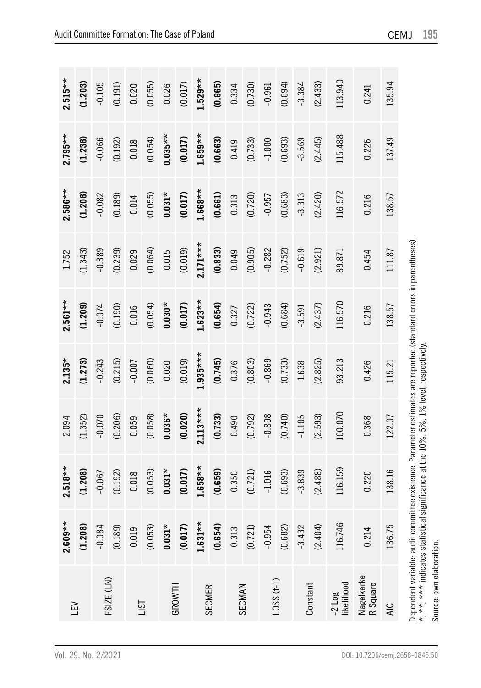| ΓFΛ                      | $2.609**$ | $2.518**$ | 2.094      | $2.135*$                                                                                                                                                                                                  | $2.561**$ | 1.752      | $2.586**$ | $2.795**$ | $2.515**$ |
|--------------------------|-----------|-----------|------------|-----------------------------------------------------------------------------------------------------------------------------------------------------------------------------------------------------------|-----------|------------|-----------|-----------|-----------|
|                          | (1.208)   | (1.208)   | (1.352)    | (1.273)                                                                                                                                                                                                   | (1.209)   | (1.343)    | (1.206)   | (1.236)   | (1.203)   |
| FSIZE (LN)               | $-0.084$  | $-0.067$  | $-0.070$   | $-0.243$                                                                                                                                                                                                  | $-0.074$  | $-0.389$   | $-0.082$  | $-0.066$  | $-0.105$  |
|                          | (0.189)   | (0.192)   | (0.206)    | (0.215)                                                                                                                                                                                                   | (0.190)   | (0.239)    | (0.189)   | (0.192)   | (0.191)   |
|                          | 0.019     | 0.018     | 0.059      | $-0.007$                                                                                                                                                                                                  | 0.016     | 0.029      | 0.014     | 0.018     | 0.020     |
| <b>IST</b>               | (0.053)   | (0.053)   | (0.058)    | (0.060)                                                                                                                                                                                                   | (0.054)   | (0.064)    | (0.055)   | (0.054)   | (0.055)   |
| GROWTH                   | $0.031*$  | $0.031*$  | $0.036*$   | 0.020                                                                                                                                                                                                     | $0.030*$  | 0.015      | $0.031*$  | $0.035**$ | 0.026     |
|                          | (0.017)   | (0.017)   | (0.020)    | (0.019)                                                                                                                                                                                                   | (0.017)   | (0.019)    | (0.017)   | (0.017)   | (0.017)   |
| <b>SECMER</b>            | $1.631**$ | $1.658**$ | $2.113***$ | $1.935***$                                                                                                                                                                                                | $1.623**$ | $2.171***$ | $1.668**$ | $1.659**$ | $1.529**$ |
|                          | (0.654)   | (0.659)   | (0.733)    | (0.745)                                                                                                                                                                                                   | (0.654)   | (0.833)    | (0.661)   | (0.663)   | (0.665)   |
| SECMAN                   | 0.313     | 0.350     | 0.490      | 0.376                                                                                                                                                                                                     | 0.327     | 0.049      | 0.313     | 0.419     | 0.334     |
|                          | (0.721)   | (0.721)   | (0.792)    | (0.803)                                                                                                                                                                                                   | (0.722)   | (0.905)    | (0.720)   | (0.733)   | (0.730)   |
|                          | $-0.954$  | $-1.016$  | $-0.898$   | $-0.869$                                                                                                                                                                                                  | $-0.943$  | $-0.282$   | $-0.957$  | $-1.000$  | $-0.961$  |
| $(1-1)$ SSS (1-1)        | (0.682)   | (0.693)   | (0.740)    | (0.733)                                                                                                                                                                                                   | (0.684)   | (0.752)    | (0.683)   | (0.693)   | (0.694)   |
|                          | $-3.432$  | $-3.839$  | $-1.105$   | 1.638                                                                                                                                                                                                     | $-3.591$  | $-0.619$   | $-3.313$  | $-3.569$  | $-3.384$  |
| Constant                 | (2.404)   | (2.488)   | (2.593)    | (2.825)                                                                                                                                                                                                   | (2.437)   | (2.921)    | (2.420)   | (2.445)   | (2.433)   |
| likelihood<br>$-2$ $Log$ | 116.746   | 116.159   | 100.070    | 93.213                                                                                                                                                                                                    | 116.570   | 89.871     | 116.572   | 115.488   | 113.940   |
| Nagelkerke<br>R Square   | 0.214     | 0.220     | 0.368      | 0.426                                                                                                                                                                                                     | 0.216     | 0.454      | 0.216     | 0.226     | 0.241     |
| AIC                      | 136.75    | 138.16    | 122.07     | 115.21                                                                                                                                                                                                    | 138.57    | 111.87     | 138.57    | 137.49    | 135.94    |
| Source: own elaboration. |           |           |            | Dependent variable: audit committee existence. Parameter estimates are reported (standard errors in parentheses)<br>*. *** *** indicates statistical significance at the 10%, 5%, 1% level, respectively. |           |            |           |           |           |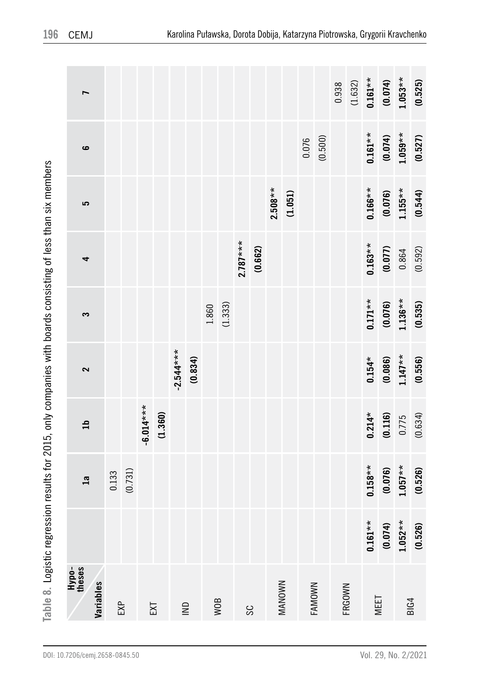| $\ddot{\phantom{0}}$          |
|-------------------------------|
| S<br>S                        |
|                               |
| י                             |
| )                             |
|                               |
| .<br>.<br>.                   |
|                               |
|                               |
| )<br>}<br>י<br>י<br>I         |
|                               |
| ؚ۠                            |
|                               |
| $\overline{\phantom{a}}$<br>집 |

| Hypo-<br>theses                                                   |            |                         |                    |                      |                      |                    |                      |                      |                      |
|-------------------------------------------------------------------|------------|-------------------------|--------------------|----------------------|----------------------|--------------------|----------------------|----------------------|----------------------|
| Variables                                                         |            | $\overline{\mathbf{a}}$ | $\mathfrak{a}$     | 2                    | S                    | 4                  | 5                    | ဖ                    | $\overline{ }$       |
|                                                                   |            | 0.133                   |                    |                      |                      |                    |                      |                      |                      |
| EXP                                                               |            | (0.731)                 |                    |                      |                      |                    |                      |                      |                      |
|                                                                   |            |                         | $6.014***$         |                      |                      |                    |                      |                      |                      |
| EXT                                                               |            |                         | (1.360)            |                      |                      |                    |                      |                      |                      |
|                                                                   |            |                         |                    | $-2.544***$          |                      |                    |                      |                      |                      |
| $\mathrel{\mathop{\sqsubseteq}\limits_{\scriptscriptstyle \sim}}$ |            |                         |                    | (0.834)              |                      |                    |                      |                      |                      |
|                                                                   |            |                         |                    |                      | 1.860                |                    |                      |                      |                      |
| WOB                                                               |            |                         |                    |                      | (1.333)              |                    |                      |                      |                      |
|                                                                   |            |                         |                    |                      |                      | $2.787***$         |                      |                      |                      |
| SS                                                                |            |                         |                    |                      |                      | (0.662)            |                      |                      |                      |
|                                                                   |            |                         |                    |                      |                      |                    | $2.508**$            |                      |                      |
| MANOWN                                                            |            |                         |                    |                      |                      |                    | (1.051)              |                      |                      |
|                                                                   |            |                         |                    |                      |                      |                    |                      | 0.076                |                      |
| FAMOWN                                                            |            |                         |                    |                      |                      |                    |                      | (0.500)              |                      |
|                                                                   |            |                         |                    |                      |                      |                    |                      |                      |                      |
| FRGOWN                                                            |            |                         |                    |                      |                      |                    |                      |                      | $0.938$<br>(1.632)   |
| MEET                                                              | $0.161**$  | $0.158**$               | $0.214*$           | $0.154*$             | $0.171**$            | $0.163**$          | $0.166**$            | $0.161**$            | $0.161**$            |
|                                                                   | (0.074)    | (0.076)                 | $(0.116)$<br>0.775 | $(0.086)$<br>1.147** | $(0.076)$<br>1.136** | $(0.077)$<br>0.864 | $(0.076)$<br>1.155** | $(0.074)$<br>1.059** | $(0.074)$<br>1.053** |
| <b>BIG4</b>                                                       | $1.052***$ | $1.057**$               |                    |                      |                      |                    |                      |                      |                      |
|                                                                   | (0.526)    | (0.526)                 | (0.634)            | (0.556)              | (0.535)              | (0.592)            | (0.544)              | (0.527)              | (0.525)              |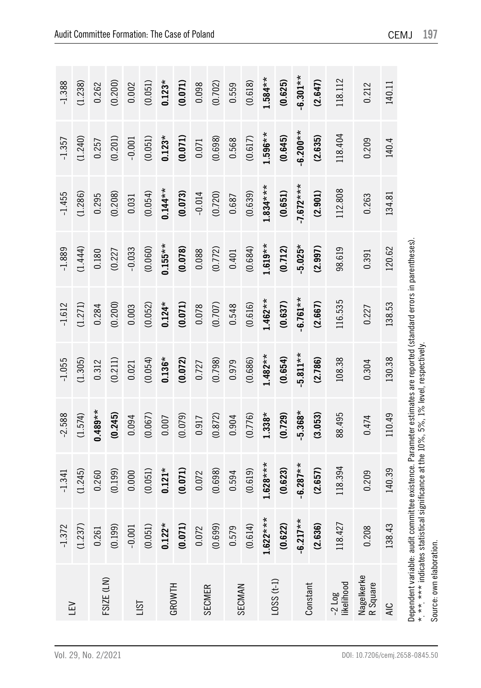| $\Xi$                                                                                                                                                                        | $-1.372$        | $-1.341$   | $-2.588$                                                | $-1.055$  | $-1.612$  | $-1.889$  | $-1.455$    | $-1.357$   | $-1.388$   |
|------------------------------------------------------------------------------------------------------------------------------------------------------------------------------|-----------------|------------|---------------------------------------------------------|-----------|-----------|-----------|-------------|------------|------------|
|                                                                                                                                                                              | (1.237)         | (1.245)    | (1.574)                                                 | (1.305)   | (1.271)   | (1.444)   | (1.286)     | (1.240)    | (1.238)    |
| FSIZE (LN)                                                                                                                                                                   | 0.261           | 0.260      | $0.489**$                                               | 0.312     | 0.284     | 0.180     | 0.295       | 0.257      | 0.262      |
|                                                                                                                                                                              | (0.199)         | (0.199)    | (0.245)                                                 | (0.211)   | (0.200)   | (0.227)   | (0.208)     | (0.201)    | (0.200)    |
|                                                                                                                                                                              | $-0.001$        | 0.000      | 0.094                                                   | 0.021     | 0.003     | $-0.033$  | 0.031       | $-0.001$   | 0.002      |
| <b>LST</b>                                                                                                                                                                   | (0.051)         | (0.051)    | (0.067)                                                 | (0.054)   | (0.052)   | (0.060)   | (0.054)     | (0.051)    | (0.051)    |
|                                                                                                                                                                              | $0.122*$        | $0.121*$   | 0.007                                                   | $0.136*$  | $0.124*$  | $0.155**$ | $0.144**$   | $0.123*$   | $0.123*$   |
| GROWTH                                                                                                                                                                       | (0.071)         | (0.071)    | (0.079)                                                 | (0.072)   | (0.071)   | (0.078)   | (0.073)     | (0.071)    | (0.071)    |
| <b>SECMER</b>                                                                                                                                                                | 0.072           | 0.072      | 0.917                                                   | 0.727     | 0.078     | 0.088     | $-0.014$    | 0.071      | 0.098      |
|                                                                                                                                                                              | (0.699)         | (0.698)    | (0.872)                                                 | (0.798)   | (0.707)   | (0.772)   | (0.720)     | (0.698)    | (0.702)    |
| SECMAN                                                                                                                                                                       | 0.579           | 0.594      | 0.904                                                   | 0.979     | 0.548     | 0.401     | 0.687       | 0.568      | 0.559      |
|                                                                                                                                                                              | (0.614)         | (0.619)    | (0.776)                                                 | (0.686)   | (0.616)   | (0.684)   | (0.639)     | (0.617)    | (0.618)    |
|                                                                                                                                                                              | ×<br>$1.622***$ | $1.628***$ | $1.338*$                                                | $1.482**$ | $1.462**$ | $1.619**$ | $1.834***$  | $1.596***$ | $1.584**$  |
| $(1-1)$ SSO1                                                                                                                                                                 | (0.622)         | (0.623)    | (0.729)                                                 | (0.654)   | (0.637)   | (0.712)   | (0.651)     | (0.645)    | (0.625)    |
| Constant                                                                                                                                                                     | $-6.217**$      | $-6.287**$ | $5.368*$                                                | $5.811**$ | $6.761**$ | $-5.025*$ | $-7.672***$ | $6.200**$  | $-6.301**$ |
|                                                                                                                                                                              | (2.636)         | (2.657)    | (3.053)                                                 | (2.786)   | (2.667)   | (2.997)   | (2.901)     | (2.635)    | (2.647)    |
| likelihood<br>$-2$ $Log$                                                                                                                                                     | 118.427         | 118.394    | 88.495                                                  | 108.38    | 116.535   | 98.619    | 112.808     | 118.404    | 118.112    |
| Nagelkerke<br>R Square                                                                                                                                                       | 0.208           | 0.209      | 0.474                                                   | 0.304     | 0.227     | 0.391     | 0.263       | 0.209      | 0.212      |
| <b>AIC</b>                                                                                                                                                                   | 138.43          | 140.39     | 110.49                                                  | 130.38    | 138.53    | 120.62    | 134.81      | 140.4      | 140.11     |
| Dependent variable: audit committee existence. Parameter estimates are reported (standard errors in parentheses)<br>* ** *** indicates statistic<br>Source: own elaboration. |                 |            | al significance at the 10%, 5%, 1% level, respectively. |           |           |           |             |            |            |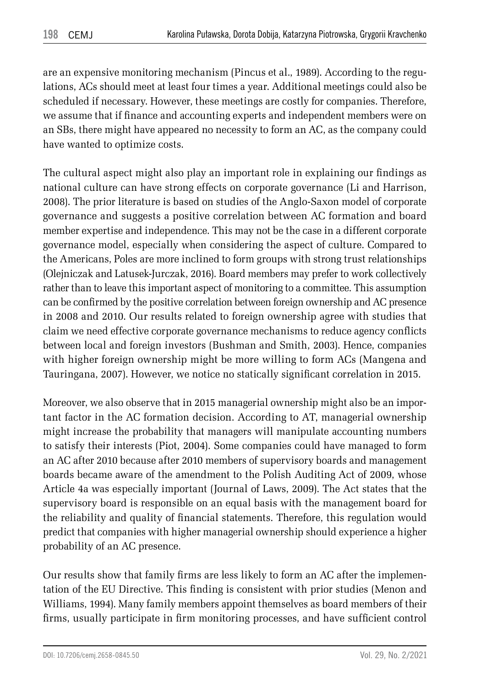are an expensive monitoring mechanism (Pincus et al., 1989). According to the regulations, ACs should meet at least four times a year. Additional meetings could also be scheduled if necessary. However, these meetings are costly for companies. Therefore, we assume that if finance and accounting experts and independent members were on an SBs, there might have appeared no necessity to form an AC, as the company could have wanted to optimize costs.

The cultural aspect might also play an important role in explaining our findings as national culture can have strong effects on corporate governance (Li and Harrison, 2008). The prior literature is based on studies of the Anglo-Saxon model of corporate governance and suggests a positive correlation between AC formation and board member expertise and independence. This may not be the case in a different corporate governance model, especially when considering the aspect of culture. Compared to the Americans, Poles are more inclined to form groups with strong trust relationships (Olejniczak and Latusek-Jurczak, 2016). Board members may prefer to work collectively rather than to leave this important aspect of monitoring to a committee. This assumption can be confirmed by the positive correlation between foreign ownership and AC presence in 2008 and 2010. Our results related to foreign ownership agree with studies that claim we need effective corporate governance mechanisms to reduce agency conflicts between local and foreign investors (Bushman and Smith, 2003). Hence, companies with higher foreign ownership might be more willing to form ACs (Mangena and Tauringana, 2007). However, we notice no statically significant correlation in 2015.

Moreover, we also observe that in 2015 managerial ownership might also be an important factor in the AC formation decision. According to AT, managerial ownership might increase the probability that managers will manipulate accounting numbers to satisfy their interests (Piot, 2004). Some companies could have managed to form an AC after 2010 because after 2010 members of supervisory boards and management boards became aware of the amendment to the Polish Auditing Act of 2009, whose Article 4a was especially important (Journal of Laws, 2009). The Act states that the supervisory board is responsible on an equal basis with the management board for the reliability and quality of financial statements. Therefore, this regulation would predict that companies with higher managerial ownership should experience a higher probability of an AC presence.

Our results show that family firms are less likely to form an AC after the implementation of the EU Directive. This finding is consistent with prior studies (Menon and Williams, 1994). Many family members appoint themselves as board members of their firms, usually participate in firm monitoring processes, and have sufficient control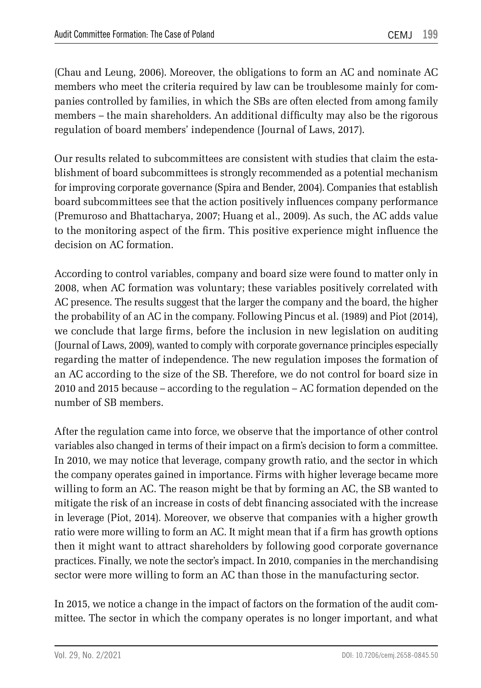(Chau and Leung, 2006). Moreover, the obligations to form an AC and nominate AC members who meet the criteria required by law can be troublesome mainly for companies controlled by families, in which the SBs are often elected from among family members – the main shareholders. An additional difficulty may also be the rigorous regulation of board members' independence (Journal of Laws, 2017).

Our results related to subcommittees are consistent with studies that claim the establishment of board subcommittees is strongly recommended as a potential mechanism for improving corporate governance (Spira and Bender, 2004). Companies that establish board subcommittees see that the action positively influences company performance (Premuroso and Bhattacharya, 2007; Huang et al., 2009). As such, the AC adds value to the monitoring aspect of the firm. This positive experience might influence the decision on AC formation.

According to control variables, company and board size were found to matter only in 2008, when AC formation was voluntary; these variables positively correlated with AC presence. The results suggest that the larger the company and the board, the higher the probability of an AC in the company. Following Pincus et al. (1989) and Piot (2014), we conclude that large firms, before the inclusion in new legislation on auditing (Journal of Laws, 2009), wanted to comply with corporate governance principles especially regarding the matter of independence. The new regulation imposes the formation of an AC according to the size of the SB. Therefore, we do not control for board size in 2010 and 2015 because – according to the regulation – AC formation depended on the number of SB members.

After the regulation came into force, we observe that the importance of other control variables also changed in terms of their impact on a firm's decision to form a committee. In 2010, we may notice that leverage, company growth ratio, and the sector in which the company operates gained in importance. Firms with higher leverage became more willing to form an AC. The reason might be that by forming an AC, the SB wanted to mitigate the risk of an increase in costs of debt financing associated with the increase in leverage (Piot, 2014). Moreover, we observe that companies with a higher growth ratio were more willing to form an AC. It might mean that if a firm has growth options then it might want to attract shareholders by following good corporate governance practices. Finally, we note the sector's impact. In 2010, companies in the merchandising sector were more willing to form an AC than those in the manufacturing sector.

In 2015, we notice a change in the impact of factors on the formation of the audit committee. The sector in which the company operates is no longer important, and what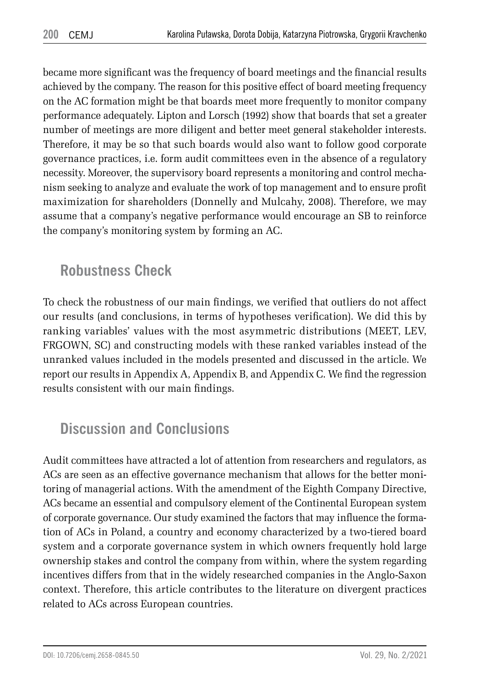became more significant was the frequency of board meetings and the financial results achieved by the company. The reason for this positive effect of board meeting frequency on the AC formation might be that boards meet more frequently to monitor company performance adequately. Lipton and Lorsch (1992) show that boards that set a greater number of meetings are more diligent and better meet general stakeholder interests. Therefore, it may be so that such boards would also want to follow good corporate governance practices, i.e. form audit committees even in the absence of a regulatory necessity. Moreover, the supervisory board represents a monitoring and control mechanism seeking to analyze and evaluate the work of top management and to ensure profit maximization for shareholders (Donnelly and Mulcahy, 2008). Therefore, we may assume that a company's negative performance would encourage an SB to reinforce the company's monitoring system by forming an AC.

## **Robustness Check**

To check the robustness of our main findings, we verified that outliers do not affect our results (and conclusions, in terms of hypotheses verification). We did this by ranking variables' values with the most asymmetric distributions (MEET, LEV, FRGOWN, SC) and constructing models with these ranked variables instead of the unranked values included in the models presented and discussed in the article. We report our results in Appendix A, Appendix B, and Appendix C. We find the regression results consistent with our main findings.

# **Discussion and Conclusions**

Audit committees have attracted a lot of attention from researchers and regulators, as ACs are seen as an effective governance mechanism that allows for the better monitoring of managerial actions. With the amendment of the Eighth Company Directive, ACs became an essential and compulsory element of the Continental European system of corporate governance. Our study examined the factors that may influence the formation of ACs in Poland, a country and economy characterized by a two-tiered board system and a corporate governance system in which owners frequently hold large ownership stakes and control the company from within, where the system regarding incentives differs from that in the widely researched companies in the Anglo-Saxon context. Therefore, this article contributes to the literature on divergent practices related to ACs across European countries.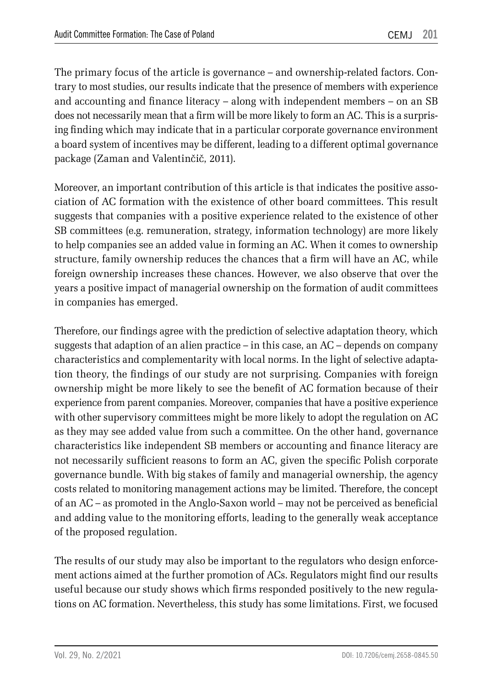The primary focus of the article is governance – and ownership-related factors. Contrary to most studies, our results indicate that the presence of members with experience and accounting and finance literacy – along with independent members – on an SB does not necessarily mean that a firm will be more likely to form an AC. This is a surprising finding which may indicate that in a particular corporate governance environment a board system of incentives may be different, leading to a different optimal governance package (Zaman and Valentinčič, 2011).

Moreover, an important contribution of this article is that indicates the positive association of AC formation with the existence of other board committees. This result suggests that companies with a positive experience related to the existence of other SB committees (e.g. remuneration, strategy, information technology) are more likely to help companies see an added value in forming an AC. When it comes to ownership structure, family ownership reduces the chances that a firm will have an AC, while foreign ownership increases these chances. However, we also observe that over the years a positive impact of managerial ownership on the formation of audit committees in companies has emerged.

Therefore, our findings agree with the prediction of selective adaptation theory, which suggests that adaption of an alien practice – in this case, an AC – depends on company characteristics and complementarity with local norms. In the light of selective adaptation theory, the findings of our study are not surprising. Companies with foreign ownership might be more likely to see the benefit of AC formation because of their experience from parent companies. Moreover, companies that have a positive experience with other supervisory committees might be more likely to adopt the regulation on AC as they may see added value from such a committee. On the other hand, governance characteristics like independent SB members or accounting and finance literacy are not necessarily sufficient reasons to form an AC, given the specific Polish corporate governance bundle. With big stakes of family and managerial ownership, the agency costs related to monitoring management actions may be limited. Therefore, the concept of an AC – as promoted in the Anglo-Saxon world – may not be perceived as beneficial and adding value to the monitoring efforts, leading to the generally weak acceptance of the proposed regulation.

The results of our study may also be important to the regulators who design enforcement actions aimed at the further promotion of ACs. Regulators might find our results useful because our study shows which firms responded positively to the new regulations on AC formation. Nevertheless, this study has some limitations. First, we focused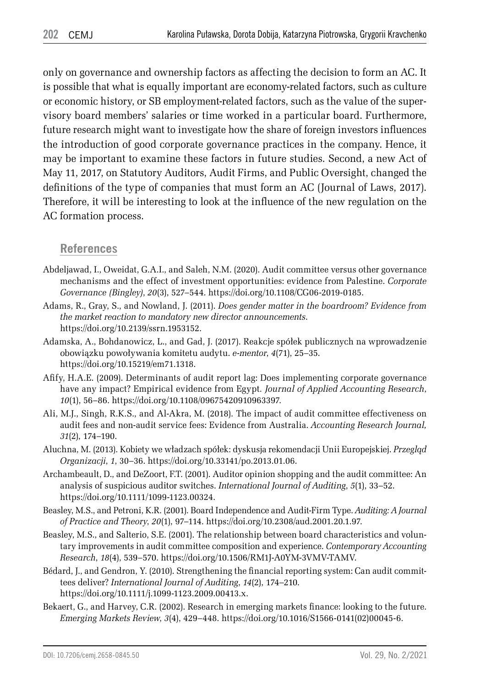only on governance and ownership factors as affecting the decision to form an AC. It is possible that what is equally important are economy-related factors, such as culture or economic history, or SB employment-related factors, such as the value of the supervisory board members' salaries or time worked in a particular board. Furthermore, future research might want to investigate how the share of foreign investors influences the introduction of good corporate governance practices in the company. Hence, it may be important to examine these factors in future studies. Second, a new Act of May 11, 2017, on Statutory Auditors, Audit Firms, and Public Oversight, changed the definitions of the type of companies that must form an AC (Journal of Laws, 2017). Therefore, it will be interesting to look at the influence of the new regulation on the AC formation process.

#### **References**

- Abdeljawad, I., Oweidat, G.A.I., and Saleh, N.M. (2020). Audit committee versus other governance mechanisms and the effect of investment opportunities: evidence from Palestine. *Corporate Governance (Bingley)*, *20*(3), 527–544. https://doi.org/10.1108/CG06-2019-0185.
- Adams, R., Gray, S., and Nowland, J. (2011). *Does gender matter in the boardroom? Evidence from the market reaction to mandatory new director announcements*. https://doi.org/10.2139/ssrn.1953152.
- Adamska, A., Bohdanowicz, L., and Gad, J. (2017). Reakcje spółek publicznych na wprowadzenie obowiązku powoływania komitetu audytu. *e-mentor*, *4*(71), 25–35. https://doi.org/10.15219/em71.1318.
- Afify, H.A.E. (2009). Determinants of audit report lag: Does implementing corporate governance have any impact? Empirical evidence from Egypt*. Journal of Applied Accounting Research*, *10*(1), 56–86. https://doi.org/10.1108/09675420910963397.
- Ali, M.J., Singh, R.K.S., and Al-Akra, M. (2018). The impact of audit committee effectiveness on audit fees and non-audit service fees: Evidence from Australia. *Accounting Research Journal, 31*(2), 174–190.
- Aluchna, M. (2013). Kobiety we władzach spółek: dyskusja rekomendacji Unii Europejskiej. *Przegląd Organizacji*, *1*, 30–36. https://doi.org/10.33141/po.2013.01.06.
- Archambeault, D., and DeZoort, F.T. (2001). Auditor opinion shopping and the audit committee: An analysis of suspicious auditor switches. *International Journal of Auditing*, *5*(1), 33–52. https://doi.org/10.1111/1099-1123.00324.
- Beasley, M.S., and Petroni, K.R. (2001). Board Independence and Audit-Firm Type. *Auditing: A Journal of Practice and Theory*, *20*(1), 97–114. https://doi.org/10.2308/aud.2001.20.1.97.
- Beasley, M.S., and Salterio, S.E. (2001). The relationship between board characteristics and voluntary improvements in audit committee composition and experience. *Contemporary Accounting Research*, *18*(4), 539–570. https://doi.org/10.1506/RM1J-A0YM-3VMV-TAMV.
- Bédard, J., and Gendron, Y. (2010). Strengthening the financial reporting system: Can audit committees deliver? *International Journal of Auditing*, *14*(2), 174–210. https://doi.org/10.1111/j.1099-1123.2009.00413.x.
- Bekaert, G., and Harvey, C.R. (2002). Research in emerging markets finance: looking to the future. *Emerging Markets Review*, *3*(4), 429–448. https://doi.org/10.1016/S1566-0141(02)00045-6.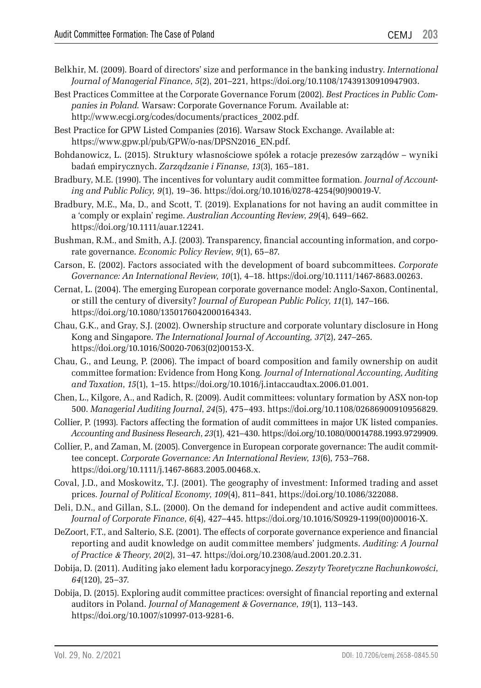- Belkhir, M. (2009). Board of directors' size and performance in the banking industry. *International Journal of Managerial Finance*, *5*(2), 201–221, https://doi.org/10.1108/17439130910947903.
- Best Practices Committee at the Corporate Governance Forum (2002). *Best Practices in Public Companies in Poland.* Warsaw: Corporate Governance Forum*.* Available at: http://www.ecgi.org/codes/documents/practices\_2002.pdf*.*
- Best Practice for GPW Listed Companies (2016). Warsaw Stock Exchange. Available at: https://www.gpw.pl/pub/GPW/o-nas/DPSN2016\_EN.pdf.
- Bohdanowicz, L. (2015). Struktury własnościowe spółek a rotacje prezesów zarządów wyniki badań empirycznych. *Zarządzanie i Finanse*, *13*(3), 165–181.
- Bradbury, M.E. (1990). The incentives for voluntary audit committee formation*. Journal of Accounting and Public Policy, 9*(1), 19–36. https://doi.org/10.1016/0278-4254(90)90019-V.
- Bradbury, M.E., Ma, D., and Scott, T. (2019). Explanations for not having an audit committee in a 'comply or explain' regime. *Australian Accounting Review*, *29*(4), 649–662. https://doi.org/10.1111/auar.12241.
- Bushman, R.M., and Smith, A.J. (2003). Transparency, financial accounting information, and corporate governance. *Economic Policy Review*, *9*(1), 65–87.
- Carson, E. (2002). Factors associated with the development of board subcommittees. *Corporate Governance: An International Review*, *10*(1), 4–18. https://doi.org/10.1111/1467-8683.00263.
- Cernat, L. (2004). The emerging European corporate governance model: Anglo-Saxon, Continental, or still the century of diversity? *Journal of European Public Policy*, *11*(1), 147–166. https://doi.org/10.1080/1350176042000164343.
- Chau, G.K., and Gray, S.J. (2002). Ownership structure and corporate voluntary disclosure in Hong Kong and Singapore. *The International Journal of Accounting*, *37*(2), 247–265. https://doi.org/10.1016/S0020-7063(02)00153-X.
- Chau, G., and Leung, P. (2006). The impact of board composition and family ownership on audit committee formation: Evidence from Hong Kong*. Journal of International Accounting, Auditing and Taxation*, *15*(1), 1–15. https://doi.org/10.1016/j.intaccaudtax.2006.01.001.
- Chen, L., Kilgore, A., and Radich, R. (2009). Audit committees: voluntary formation by ASX non-top 500. *Managerial Auditing Journal*, *24*(5), 475–493. https://doi.org/10.1108/02686900910956829.
- Collier, P. (1993). Factors affecting the formation of audit committees in major UK listed companies. *Accounting and Business Research*, *23*(1), 421–430. https://doi.org/10.1080/00014788.1993.9729909.
- Collier, P., and Zaman, M. (2005). Convergence in European corporate governance: The audit committee concept. *Corporate Governance: An International Review*, *13*(6), 753–768. https://doi.org/10.1111/j.1467-8683.2005.00468.x.
- Coval, J.D., and Moskowitz, T.J. (2001). The geography of investment: Informed trading and asset prices*. Journal of Political Economy*, *109*(4), 811–841, https://doi.org/10.1086/322088.
- Deli, D.N., and Gillan, S.L. (2000). On the demand for independent and active audit committees*. Journal of Corporate Finance*, *6*(4), 427–445. https://doi.org/10.1016/S0929-1199(00)00016-X.
- DeZoort, F.T., and Salterio, S.E. (2001). The effects of corporate governance experience and financial reporting and audit knowledge on audit committee members' judgments. *Auditing: A Journal of Practice* & *Theory*, *20*(2), 31–47. https://doi.org/10.2308/aud.2001.20.2.31.
- Dobija, D. (2011). Auditing jako element ładu korporacyjnego. *Zeszyty Teoretyczne Rachunkowości*, *64*(120), 25–37.
- Dobija, D. (2015). Exploring audit committee practices: oversight of financial reporting and external auditors in Poland. *Journal of Management* & *Governance*, *19*(1), 113–143. https://doi.org/10.1007/s10997-013-9281-6.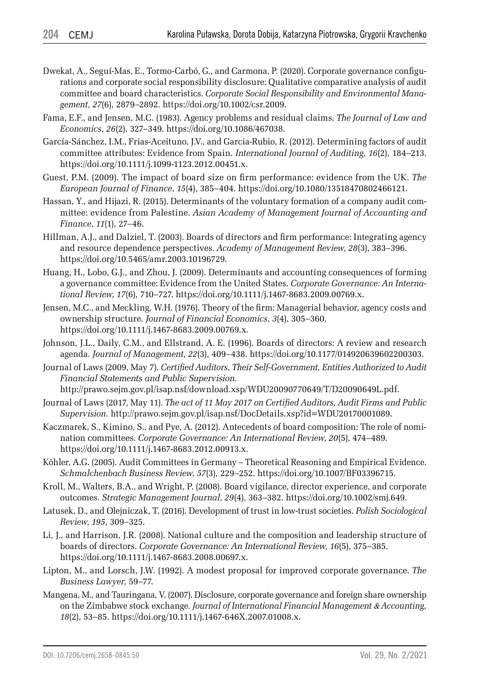- Dwekat, A., Seguí-Mas, E., Tormo-Carbó, G., and Carmona, P. (2020). Corporate governance configurations and corporate social responsibility disclosure: Qualitative comparative analysis of audit committee and board characteristics. *Corporate Social Responsibility and Environmental Management*, *27*(6), 2879–2892. https://doi.org/10.1002/csr.2009.
- Fama, E.F., and Jensen, M.C. (1983). Agency problems and residual claims. *The Journal of Law and Economics*, *26*(2), 327–349. https://doi.org/10.1086/467038.
- García-Sánchez, I.M., Frias-Aceituno, J.V., and Garcia-Rubio, R. (2012). Determining factors of audit committee attributes: Evidence from Spain. *International Journal of Auditing*, *16*(2), 184–213. https://doi.org/10.1111/j.1099-1123.2012.00451.x.
- Guest, P.M. (2009). The impact of board size on firm performance: evidence from the UK. *The European Journal of Finance*, *15*(4), 385–404. https://doi.org/10.1080/13518470802466121.
- Hassan, Y., and Hijazi, R. (2015). Determinants of the voluntary formation of a company audit committee: evidence from Palestine. *Asian Academy of Management Journal of Accounting and Finance*, *11*(1), 27–46.
- Hillman, A.J., and Dalziel, T. (2003). Boards of directors and firm performance: Integrating agency and resource dependence perspectives. *Academy of Management Review*, *28*(3), 383–396. https://doi.org/10.5465/amr.2003.10196729.
- Huang, H., Lobo, G.J., and Zhou, J. (2009). Determinants and accounting consequences of forming a governance committee: Evidence from the United States. *Corporate Governance: An International Review*, *17*(6), 710–727. https://doi.org/10.1111/j.1467-8683.2009.00769.x.
- Jensen, M.C., and Meckling, W.H. (1976). Theory of the firm: Managerial behavior, agency costs and ownership structure*. Journal of Financial Economics*, *3*(4), 305–360. https://doi.org/10.1111/j.1467-8683.2009.00769.x.
- Johnson, J.L., Daily, C.M., and Ellstrand, A. E. (1996). Boards of directors: A review and research agenda*. Journal of Management*, *22*(3), 409–438. https://doi.org/10.1177/014920639602200303.
- Journal of Laws (2009, May 7). *Certified Auditors, Their Self-Government, Entities Authorized to Audit Financial Statements and Public Supervision.* http://prawo.sejm.gov.pl/isap.nsf/download.xsp/WDU20090770649/T/D20090649L.pdf.
- Journal of Laws (2017, May 11). *The act of 11 May 2017 on Certified Auditors, Audit Firms and Public Supervision.* http://prawo.sejm.gov.pl/isap.nsf/DocDetails.xsp?id=WDU20170001089.
- Kaczmarek, S., Kimino, S., and Pye, A. (2012). Antecedents of board composition: The role of nomination committees. *Corporate Governance: An International Review*, *20*(5), 474–489. https://doi.org/10.1111/j.1467-8683.2012.00913.x.
- Köhler, A.G. (2005). Audit Committees in Germany Theoretical Reasoning and Empirical Evidence. *Schmalchenbach Business Review*, *57*(3), 229–252. https://doi.org/10.1007/BF03396715.
- Kroll, M., Walters, B.A., and Wright, P. (2008). Board vigilance, director experience, and corporate outcomes. *Strategic Management Journal*, *29*(4), 363–382. https://doi.org/10.1002/smj.649.
- Latusek, D., and Olejniczak, T. (2016). Development of trust in low-trust societies. *Polish Sociological Review*, *195*, 309–325.
- Li, J., and Harrison, J.R. (2008). National culture and the composition and leadership structure of boards of directors. *Corporate Governance: An International Review*, *16*(5), 375–385. https://doi.org/10.1111/j.1467-8683.2008.00697.x.
- Lipton, M., and Lorsch, J.W. (1992). A modest proposal for improved corporate governance. *The Business Lawyer*, 59–77.
- Mangena, M., and Tauringana, V. (2007). Disclosure, corporate governance and foreign share ownership on the Zimbabwe stock exchange*. Journal of International Financial Management* & *Accounting, 18*(2), 53–85. https://doi.org/10.1111/j.1467-646X.2007.01008.x.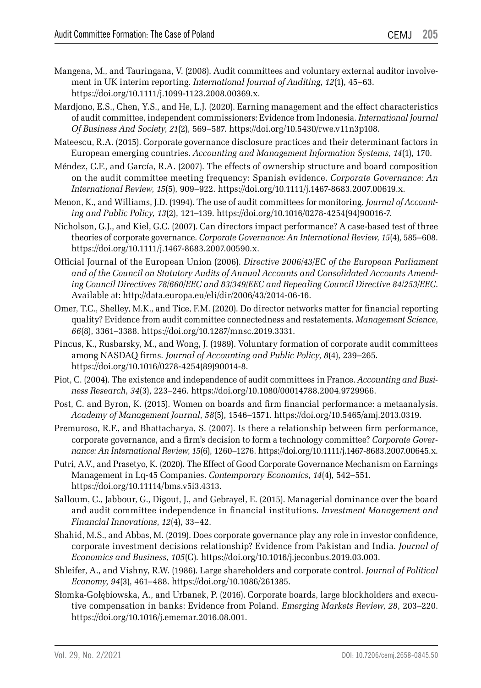- Mangena, M., and Tauringana, V. (2008). Audit committees and voluntary external auditor involvement in UK interim reporting. *International Journal of Auditing*, *12*(1), 45–63. https://doi.org/10.1111/j.1099-1123.2008.00369.x.
- Mardjono, E.S., Chen, Y.S., and He, L.J. (2020). Earning management and the effect characteristics of audit committee, independent commissioners: Evidence from Indonesia. *International Journal Of Business And Society*, *21*(2), 569–587. https://doi.org/10.5430/rwe.v11n3p108.
- Mateescu, R.A. (2015). Corporate governance disclosure practices and their determinant factors in European emerging countries. *Accounting and Management Information Systems*, *14*(1), 170.
- Méndez, C.F., and García, R.A. (2007). The effects of ownership structure and board composition on the audit committee meeting frequency: Spanish evidence. *Corporate Governance: An International Review*, *15*(5), 909–922. https://doi.org/10.1111/j.1467-8683.2007.00619.x.
- Menon, K., and Williams, J.D. (1994). The use of audit committees for monitoring*. Journal of Accounting and Public Policy, 13*(2), 121–139. https://doi.org/10.1016/0278-4254(94)90016-7.
- Nicholson, G.J., and Kiel, G.C. (2007). Can directors impact performance? A case-based test of three theories of corporate governance. *Corporate Governance: An International Review*, *15*(4), 585–608. https://doi.org/10.1111/j.1467-8683.2007.00590.x.
- Official Journal of the European Union (2006). *Directive 2006/43/EC of the European Parliament and of the Council on Statutory Audits of Annual Accounts and Consolidated Accounts Amending Council Directives 78/660/EEC and 83/349/EEC and Repealing Council Directive 84/253/EEC*. Available at: http://data.europa.eu/eli/dir/2006/43/2014-06-16.
- Omer, T.C., Shelley, M.K., and Tice, F.M. (2020). Do director networks matter for financial reporting quality? Evidence from audit committee connectedness and restatements. *Management Science*, *66*(8), 3361–3388. https://doi.org/10.1287/mnsc.2019.3331.
- Pincus, K., Rusbarsky, M., and Wong, J. (1989). Voluntary formation of corporate audit committees among NASDAQ firms*. Journal of Accounting and Public Policy*, *8*(4), 239–265. https://doi.org/10.1016/0278-4254(89)90014-8.
- Piot, C. (2004). The existence and independence of audit committees in France. *Accounting and Business Research*, *34*(3), 223–246. https://doi.org/10.1080/00014788.2004.9729966.
- Post, C. and Byron, K. (2015). Women on boards and firm financial performance: a metaanalysis. *Academy of Management Journal*, *58*(5), 1546–1571. https://doi.org/10.5465/amj.2013.0319.
- Premuroso, R.F., and Bhattacharya, S. (2007). Is there a relationship between firm performance, corporate governance, and a firm's decision to form a technology committee? *Corporate Governance: An International Review*, *15*(6), 1260–1276. https://doi.org/10.1111/j.1467-8683.2007.00645.x.
- Putri, A.V., and Prasetyo, K. (2020). The Effect of Good Corporate Governance Mechanism on Earnings Management in Lq-45 Companies. *Contemporary Economics*, *14*(4), 542–551. https://doi.org/10.11114/bms.v5i3.4313.
- Salloum, C., Jabbour, G., Digout, J., and Gebrayel, E. (2015). Managerial dominance over the board and audit committee independence in financial institutions. *Investment Management and Financial Innovations*, *12*(4), 33–42.
- Shahid, M.S., and Abbas, M. (2019). Does corporate governance play any role in investor confidence, corporate investment decisions relationship? Evidence from Pakistan and India. *Journal of Economics and Business*, *105*(C)*.* https://doi.org/10.1016/j.jeconbus.2019.03.003.
- Shleifer, A., and Vishny, R.W. (1986). Large shareholders and corporate control*. Journal of Political Economy*, *94*(3), 461–488. https://doi.org/10.1086/261385.
- Słomka-Gołębiowska, A., and Urbanek, P. (2016). Corporate boards, large blockholders and executive compensation in banks: Evidence from Poland. *Emerging Markets Review*, *28*, 203–220. https://doi.org/10.1016/j.ememar.2016.08.001.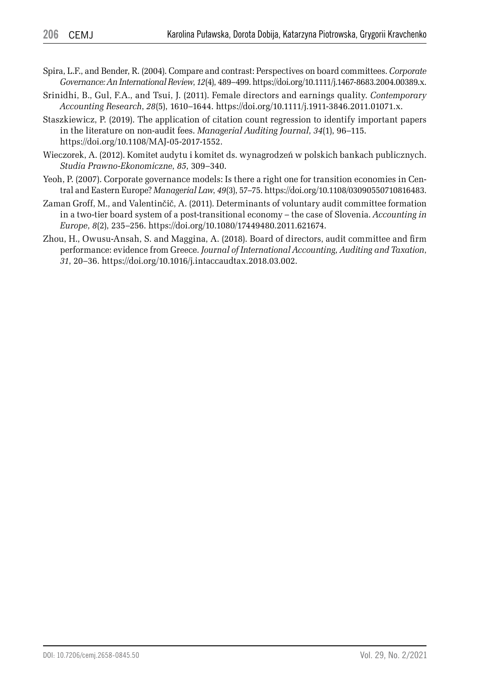- Spira, L.F., and Bender, R. (2004). Compare and contrast: Perspectives on board committees. *Corporate Governance: An International Review*, *12*(4), 489–499. https://doi.org/10.1111/j.1467-8683.2004.00389.x.
- Srinidhi, B., Gul, F.A., and Tsui, J. (2011). Female directors and earnings quality. *Contemporary Accounting Research*, *28*(5), 1610–1644. https://doi.org/10.1111/j.1911-3846.2011.01071.x.
- Staszkiewicz, P. (2019). The application of citation count regression to identify important papers in the literature on non-audit fees. *Managerial Auditing Journal*, *34*(1), 96–115. https://doi.org/10.1108/MAJ-05-2017-1552.
- Wieczorek, A. (2012). Komitet audytu i komitet ds. wynagrodzeń w polskich bankach publicznych. *Studia Prawno-Ekonomiczne*, *85*, 309–340.
- Yeoh, P. (2007). Corporate governance models: Is there a right one for transition economies in Central and Eastern Europe? *Managerial Law*, *49*(3), 57–75. https://doi.org/10.1108/03090550710816483.
- Zaman Groff, M., and Valentinčič, A. (2011). Determinants of voluntary audit committee formation in a two-tier board system of a post-transitional economy – the case of Slovenia. *Accounting in Europe*, *8*(2), 235–256. https://doi.org/10.1080/17449480.2011.621674.
- Zhou, H., Owusu-Ansah, S. and Maggina, A. (2018). Board of directors, audit committee and firm performance: evidence from Greece. *Journal of International Accounting, Auditing and Taxation*, *31*, 20–36. https://doi.org/10.1016/j.intaccaudtax.2018.03.002.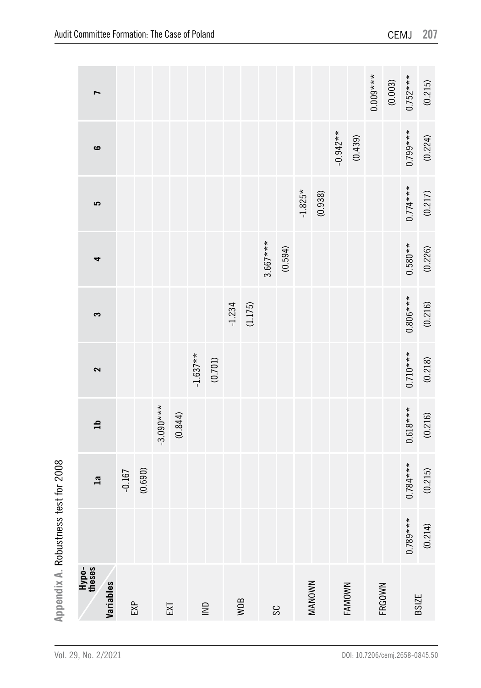|                                      | ∼                            |          |         |             |         |            |                                                                  |          |         |            |         |           |               |            |         | $0.009***$ | (0.003) | $0.752***$   | (0.215) |
|--------------------------------------|------------------------------|----------|---------|-------------|---------|------------|------------------------------------------------------------------|----------|---------|------------|---------|-----------|---------------|------------|---------|------------|---------|--------------|---------|
|                                      | ဖ                            |          |         |             |         |            |                                                                  |          |         |            |         |           |               | $-0.942**$ | (0.439) |            |         | $0.799***$   | (0.224) |
|                                      | 5                            |          |         |             |         |            |                                                                  |          |         |            |         | $-1.825*$ | (0.938)       |            |         |            |         | $0.774***$   | (0.217) |
|                                      | 4                            |          |         |             |         |            |                                                                  |          |         | $3.667***$ | (0.594) |           |               |            |         |            |         | $0.580**$    | (0.226) |
|                                      | S                            |          |         |             |         |            |                                                                  | $-1.234$ | (1.175) |            |         |           |               |            |         |            |         | $0.806***$   | (0.216) |
|                                      | 2                            |          |         |             |         | $-1.637**$ | (0.701)                                                          |          |         |            |         |           |               |            |         |            |         | $0.710***$   | (0.218) |
|                                      | $\mathfrak{a}$               |          |         | $-3.090***$ | (0.844) |            |                                                                  |          |         |            |         |           |               |            |         |            |         | $0.618***$   | (0.216) |
|                                      | $\overline{\mathfrak{a}}$    | $-0.167$ | (0.690) |             |         |            |                                                                  |          |         |            |         |           |               |            |         |            |         | $0.784***$   | (0.215) |
|                                      |                              |          |         |             |         |            |                                                                  |          |         |            |         |           |               |            |         |            |         | $0.789***$   | (0.214) |
| Appendix A. Robustness test for 2008 | Hypo-<br>theses<br>Variables | EXP      |         |             | EXT     |            | $\mathrel{\mathop{\sqsubseteq}\limits_{\scriptscriptstyle\sim}}$ |          | WOB     |            | SC      |           | <b>MANOWN</b> |            | FAMOWN  | FRGOWN     |         | <b>BSIZE</b> |         |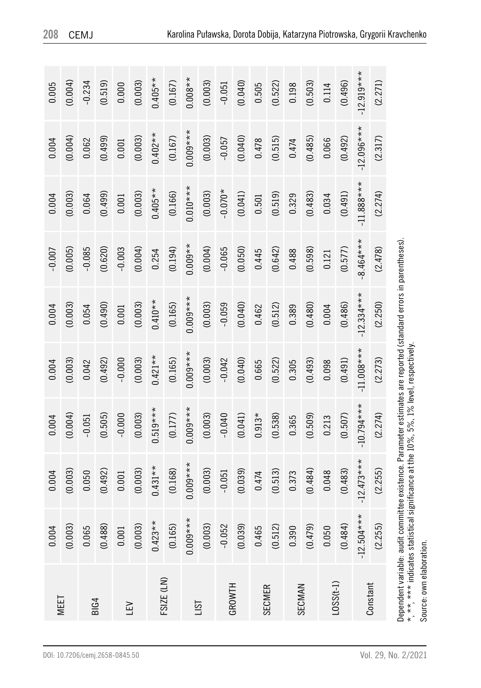| 0.005    | (0.004) | $-0.234$    | (0.519) | 0.000     | (0.003) | $0.405**$  | (0.167) | $0.008**$  | (0.003) | $-0.051$  | (0.040) | 0.505         | (0.522) | 0.198  | (0.503) | 0.114     | (0.496) | 12.919***    | (2.271)  |
|----------|---------|-------------|---------|-----------|---------|------------|---------|------------|---------|-----------|---------|---------------|---------|--------|---------|-----------|---------|--------------|----------|
| 0.004    | (0.004) | 0.062       | (0.499) | 0.001     | (0.003) | $0.402**$  | (0.167) | $0.009***$ | (0.003) | $-0.057$  | (0.040) | 0.478         | (0.515) | 0.474  | (0.485) | 0.066     | (0.492) | $12.096***$  | (2.317)  |
| 0.004    | (0.003) | 0.064       | (0.499) | 0.001     | (0.003) | $0.405**$  | (0.166) | $0.010***$ | (0.003) | $-0.070*$ | (0.041) | 0.501         | (0.519) | 0.329  | (0.483) | 0.034     | (0.491) | $-11.888***$ | (2.274)  |
| $-0.007$ | (0.005) | $-0.085$    | (0.620) | $-0.003$  | (0.004) | 0.254      | (0.194) | $0.009**$  | (0.004) | $-0.065$  | (0.050) | 0.445         | (0.642) | 0.488  | (0.598) | 0.121     | (0.577) | $8.464***$   | (2.478)  |
| 0.004    | (0.003) | 0.054       | (0.490) | 0.001     | (0.003) | $0.410**$  | (0.165) | $0.009***$ | (0.003) | $-0.059$  | (0.040) | 0.462         | (0.512) | 0.389  | (0.480) | 0.004     | (0.486) | $-12.334***$ | (2.250)  |
| 0.004    | (0.003) | 0.042       | (0.492) | $-0.000$  | (0.003) | $0.421**$  | (0.165) | $0.009***$ | (0.003) | $-0.042$  | (0.040) | 0.665         | (0.522) | 0.305  | (0.493) | 0.098     | (0.491) | $-11.008***$ | (2.273)  |
| 0.004    | (0.004) | $-0.051$    | (0.505) | $-0.000$  | (0.003) | $0.519***$ | (0.177) | $0.009***$ | (0.003) | $-0.040$  | (0.041) | $0.913*$      | (0.538) | 0.365  | (0.509) | 0.213     | (0.507) | $-10.794***$ | (2.274)  |
| 0.004    | (0.003) | 0.050       | (0.492) | 0.001     | (0.003) | $0.431**$  | (0.168) | $0.009***$ | (0.003) | $-0.051$  | (0.039) | 0.474         | (0.513) | 0.373  | (0.484) | 0.048     | (0.483) | $-12.473***$ | (2.255)  |
| 0.004    | (0.003) | 0.065       | (0.488) | $0.001\,$ | (0.003) | $0.423**$  | (0.165) | $0.009***$ | (0.003) | $-0.052$  | (0.039) | 0.465         | (0.512) | 0.390  | (0.479) | 0.050     | (0.484) | $-12.504***$ | (2.255)  |
| MEET     |         | <b>BIG4</b> |         | LEV       |         | FSIZE (LN) |         | <b>LST</b> |         | GROWTH    |         | <b>SECMER</b> |         | SECMAN |         | $-0SSt-1$ |         |              | Constant |

Source: own elaboration. Source: own elaboration.

Dependent variable: audit committee existence. Parameter estimates are reported (standard errors in parentheses).

Dependent variable: audit committee existence. Parameter estimates are reported (standard errors in parentheses).

\*, \*\*, \*\*\* indicates statistical significance at the 10%, 5%, 1% level, respectively.

\*, \*\*, \*\*\* indicates statistical significance at the 10%, 5%, 1% level, respectively.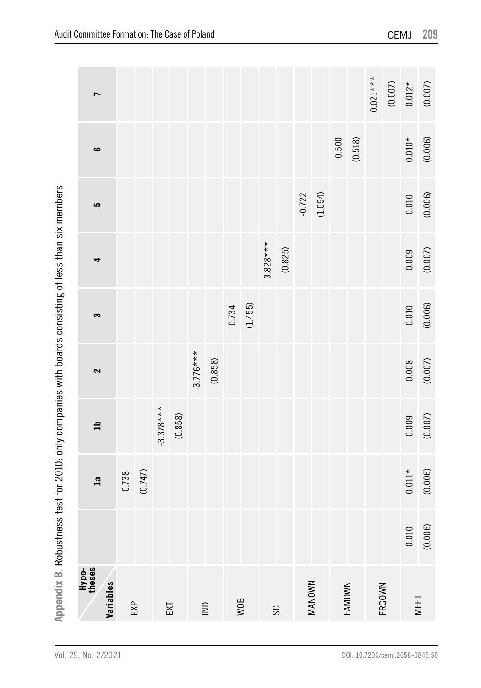|                                                                                                      | ī                            |       |         |             |         |             |                                                                   |       |         |            |         |          |               |          |         | $0.021***$ | $(0.007)$ | $0.012*$ | (0.007) |
|------------------------------------------------------------------------------------------------------|------------------------------|-------|---------|-------------|---------|-------------|-------------------------------------------------------------------|-------|---------|------------|---------|----------|---------------|----------|---------|------------|-----------|----------|---------|
|                                                                                                      | ဖ                            |       |         |             |         |             |                                                                   |       |         |            |         |          |               | $-0.500$ | (0.518) |            |           | $0.010*$ | (0.006) |
|                                                                                                      | 5                            |       |         |             |         |             |                                                                   |       |         |            |         | $-0.722$ | (1.094)       |          |         |            |           | 0.010    | (0.006) |
|                                                                                                      | 4                            |       |         |             |         |             |                                                                   |       |         | $3.828***$ | (0.825) |          |               |          |         |            |           | 0.009    | (0.007) |
|                                                                                                      | S                            |       |         |             |         |             |                                                                   | 0.734 | (1.455) |            |         |          |               |          |         |            |           | 0.010    | (0.006) |
|                                                                                                      | 2                            |       |         |             |         | $-3.776***$ | (0.858)                                                           |       |         |            |         |          |               |          |         |            |           | 0.008    | (0.007) |
|                                                                                                      | $\mathbf{a}$                 |       |         | $-3.378***$ | (0.858) |             |                                                                   |       |         |            |         |          |               |          |         |            |           | 0.009    | (0.007) |
|                                                                                                      | $\overline{\mathbf{a}}$      | 0.738 | (0.747) |             |         |             |                                                                   |       |         |            |         |          |               |          |         |            |           | $0.011*$ | (0.006) |
|                                                                                                      |                              |       |         |             |         |             |                                                                   |       |         |            |         |          |               |          |         |            |           | 0.010    | (0.006) |
| Appendix B. Robustness test for 2010: only companies with boards consisting of less than six members | Hypo-<br>theses<br>Variables | EXP   |         |             | EXT     |             | $\mathrel{\mathop{\sqsubseteq}\limits_{\scriptscriptstyle \sim}}$ |       | WOB     |            | SC      |          | <b>MANOWN</b> | FAMOWN   |         |            | FRGOWN    | MEET     |         |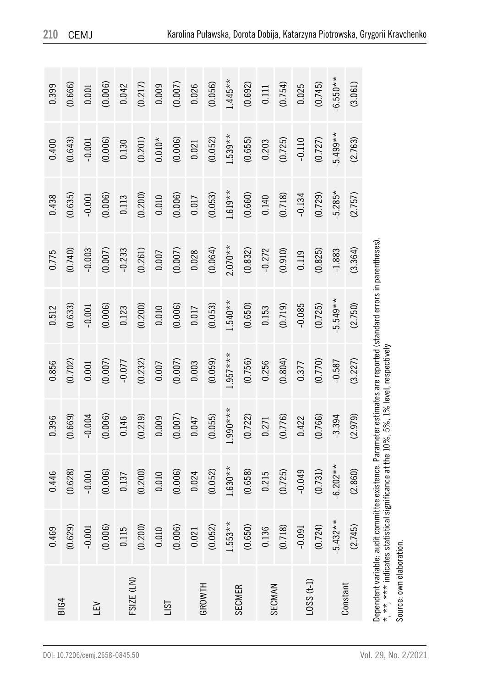| 0.400<br>0.438 | (0.643)<br>(0.635) | $-0.001$<br>$-0.001$ | (0.006)<br>(0.006) | 0.130<br>0.113 | (0.201)<br>(0.200) | $0.010*$<br>0.010 | (0.006)<br>(0.006) | 0.021<br>0.017 | (0.052)<br>(0.053) | $1.539**$<br>$1.619**$ | (0.655)<br>(0.660) | 0.203<br>0.140 | (0.725)<br>(0.718) | $-0.110$<br>$-0.134$ | (0.727)<br>(0.729) | $5.499**$<br>$-5.285*$ | (2.763)<br>(2.757) |
|----------------|--------------------|----------------------|--------------------|----------------|--------------------|-------------------|--------------------|----------------|--------------------|------------------------|--------------------|----------------|--------------------|----------------------|--------------------|------------------------|--------------------|
| 0.775          | (0.470)            | $-0.003$             | (0.007)            | $-0.233$       | (0.261)            | 0.007             | (0.007)            | 0.028          | (0.064)            | $2.070**$              | (0.832)            | $-0.272$       | (0.910)            | 0.119                | (0.825)            | $-1.883$               | (3.364)            |
| 0.512          | (0.633)            | $-0.001$             | (0.006)            | 0.123          | (0.200)            | 0.010             | (0.006)            | 0.017          | (0.053)            | $1.540**$              | (0.650)            | 0.153          | (0.719)            | $-0.085$             | (0.725)            | $5.549**$              | (2.750)            |
| 0.856          | (0.702)            | 0.001                | (0.007)            | $-0.077$       | (0.232)            | 0.007             | (0.007)            | 0.003          | (0.059)            | $1.957***$             | (0.756)            | 0.256          | (0.804)            | 0.377                | (0.770)            | $-0.587$               | (3.227)            |
| 0.396          | (0.669)            | $-0.004$             | (0.006)            | 0.146          | (0.219)            | 0.009             | (0.007)            | 0.047          | (0.055)            | $1.990***$             | (0.722)            | 0.271          | (0.776)            | 0.422                | (0.766)            | $-3.394$               | (2.979)            |
| 0.446          | (0.628)            | $-0.001$             | (0.006)            | 0.137          | (0.200)            | 0.010             | (0.006)            | 0.024          | (0.052)            | $1.630**$              | (0.658)            | 0.215          | (0.725)            | $-0.049$             | (0.731)            | $6.202**$              | (2.860)            |
| 0.469          | (0.629)            | $-0.001$             | (0.006)            | 0.115          | (0.200)            | 0.010             | (0.006)            | 0.021          | (0.052)            | $1.553**$              | (0.650)            | 0.136          | (0.718)            | $-0.091$             | (0.724)            | $-5.432**$             | (2.745)            |
| <b>BIG4</b>    |                    | ΓFΛ                  |                    | FSIZE (LN)     |                    | <b>ISL</b>        |                    | GROWTH         |                    | <b>SECMER</b>          |                    | SECMAN         |                    | $L-1$ SSQ            |                    |                        | Constant           |

**210** CEMJ

DOI: 10.7206/cemj.2658-0845.50

Source: own elaboration.

Source: own elaboration.

Dependent variable: audit committee existence. Parameter estimates are reported (standard errors in parentheses).

Dependent variable: audit committee existence. Parameter estimates are reported (standard errors in parentheses).

\*, \*\*, \*\*\* indicates statistical significance at the 10%, 5%, 1% level, respectively

\*, \*\*, \*\*\* indicates statistical significance at the 10%, 5%, 1% level, respectively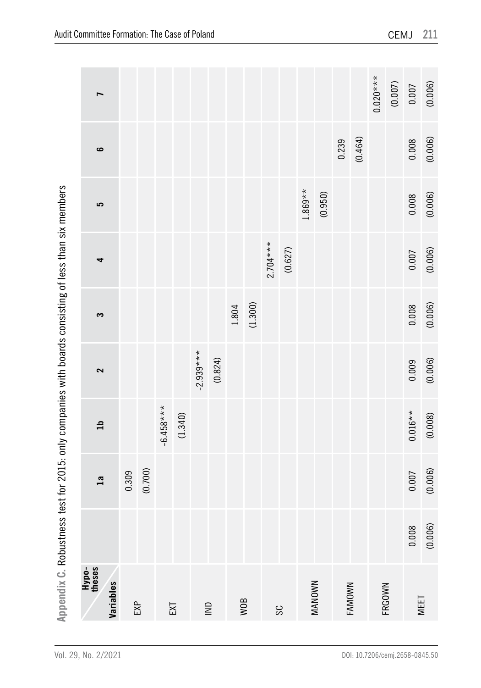|                                                                                                      | L                            |       |         |             |         |             |                                    |       |         |            |         |           |               |        |         | $0.020***$ | $(0.007)$ | 0.007     | (0.006) |
|------------------------------------------------------------------------------------------------------|------------------------------|-------|---------|-------------|---------|-------------|------------------------------------|-------|---------|------------|---------|-----------|---------------|--------|---------|------------|-----------|-----------|---------|
|                                                                                                      | $\bullet$                    |       |         |             |         |             |                                    |       |         |            |         |           |               | 0.239  | (0.464) |            |           | 0.008     | (0.006) |
|                                                                                                      | 5                            |       |         |             |         |             |                                    |       |         |            |         | $1.869**$ | (0.950)       |        |         |            |           | 0.008     | (0.006) |
|                                                                                                      | 4                            |       |         |             |         |             |                                    |       |         | $2.704***$ | (0.627) |           |               |        |         |            |           | 0.007     | (0.006) |
|                                                                                                      | S                            |       |         |             |         |             |                                    | 1.804 | (1.300) |            |         |           |               |        |         |            |           | 0.008     | (0.006) |
|                                                                                                      | 2                            |       |         |             |         | $-2.939***$ | (0.824)                            |       |         |            |         |           |               |        |         |            |           | 0.009     | (0.006) |
|                                                                                                      | $\mathbf{a}$                 |       |         | $-6.458***$ | (1.340) |             |                                    |       |         |            |         |           |               |        |         |            |           | $0.016**$ | (0.008) |
|                                                                                                      | 1a                           | 0.309 | (0.700) |             |         |             |                                    |       |         |            |         |           |               |        |         |            |           | 0.007     | (0.006) |
|                                                                                                      |                              |       |         |             |         |             |                                    |       |         |            |         |           |               |        |         |            |           | 0.008     | (0.006) |
| Appendix C. Robustness test for 2015: only companies with boards consisting of less than six members | Hypo-<br>theses<br>Variables |       | EXP     |             | EXT     |             | $\mathrel{\mathop{\sqsubseteq}\,}$ |       | WOB     |            | SC      |           | <b>MANOWN</b> | FAMOWN |         | FRGOWN     |           | MEET      |         |